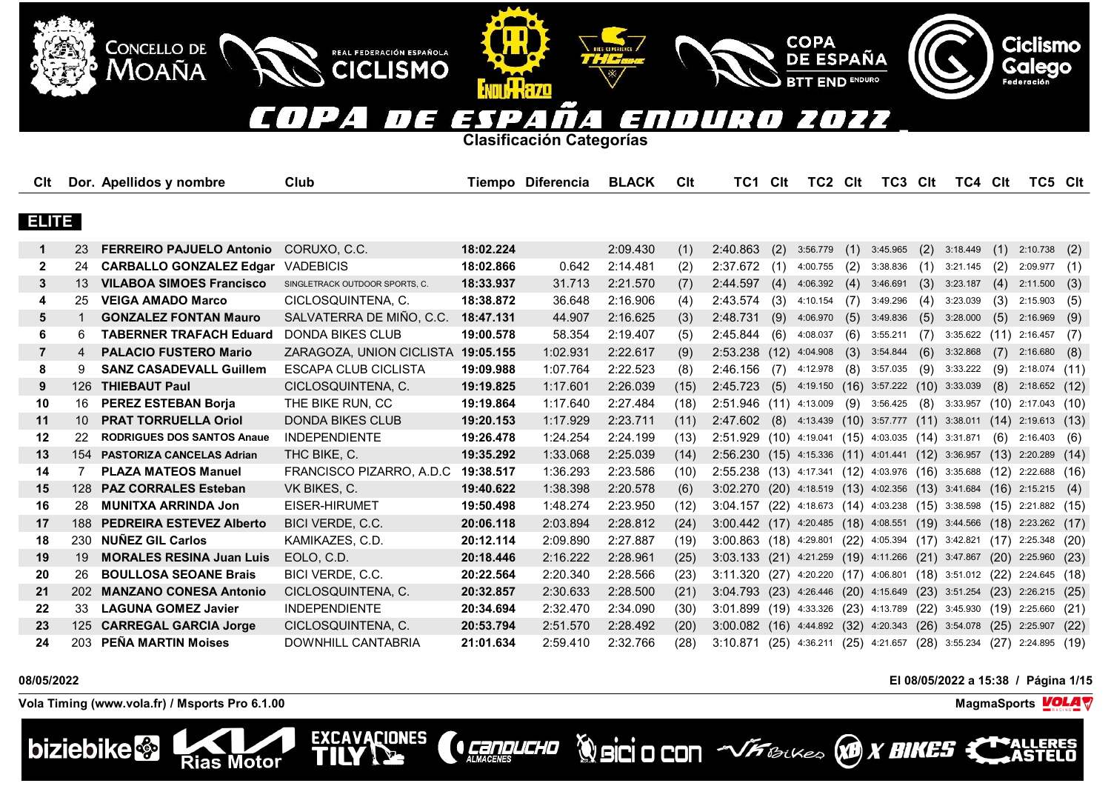### $\overline{\phantom{a}}$  $\blacksquare$ E EN  $\blacksquare$ TY 7 E ГD) 77  $\overline{1}$  $\mathbf{I}$  $\prime$  $\blacktriangle$  $\overline{\phantom{a}}$

**Clasificación Categorías**

**ENTILL HAZO** 

REAL FEDERACIÓN ESPAÑOLA

**CICLISMO** 

EXCAVACIONES

| Clt            |                 | Dor. Apellidos y nombre           | Club                           |           | Tiempo Diferencia | <b>BLACK</b> | Clt  | TC1                                                                     | <b>Clt</b> | TC2 Clt                                                 |      | TC3 CIt  |      | TC4 Clt         |      | TC5 Clt                |      |
|----------------|-----------------|-----------------------------------|--------------------------------|-----------|-------------------|--------------|------|-------------------------------------------------------------------------|------------|---------------------------------------------------------|------|----------|------|-----------------|------|------------------------|------|
|                |                 |                                   |                                |           |                   |              |      |                                                                         |            |                                                         |      |          |      |                 |      |                        |      |
| <b>ELITE</b>   |                 |                                   |                                |           |                   |              |      |                                                                         |            |                                                         |      |          |      |                 |      |                        |      |
| $\mathbf 1$    | 23              | <b>FERREIRO PAJUELO Antonio</b>   | CORUXO, C.C.                   | 18:02.224 |                   | 2:09.430     | (1)  | 2:40.863                                                                | (2)        | 3:56.779                                                | (1)  | 3:45.965 | (2)  | 3:18.449        | (1)  | 2:10.738               | (2)  |
| $\mathbf{2}$   | 24              | <b>CARBALLO GONZALEZ Edgar</b>    | <b>VADEBICIS</b>               | 18:02.866 | 0.642             | 2:14.481     | (2)  | 2:37.672                                                                | (1)        | 4:00.755                                                | (2)  | 3:38.836 | (1)  | 3:21.145        | (2)  | 2:09.977               | (1)  |
| 3              | 13              | <b>VILABOA SIMOES Francisco</b>   | SINGLETRACK OUTDOOR SPORTS, C. | 18:33.937 | 31.713            | 2:21.570     | (7)  | 2:44.597                                                                | (4)        | 4:06.392                                                | (4)  | 3:46.691 | (3)  | 3:23.187        | (4)  | 2:11.500               | (3)  |
| 4              | 25              | <b>VEIGA AMADO Marco</b>          | CICLOSQUINTENA, C.             | 18:38.872 | 36.648            | 2:16.906     | (4)  | 2:43.574                                                                | (3)        | 4:10.154                                                | (7)  | 3:49.296 | (4)  | 3:23.039        | (3)  | 2:15.903               | (5)  |
| 5              |                 | <b>GONZALEZ FONTAN Mauro</b>      | SALVATERRA DE MIÑO. C.C.       | 18:47.131 | 44.907            | 2:16.625     | (3)  | 2:48.731                                                                | (9)        | 4:06.970                                                | (5)  | 3:49.836 | (5)  | 3:28.000        | (5)  | 2:16.969               | (9)  |
| 6              | 6               | <b>TABERNER TRAFACH Eduard</b>    | <b>DONDA BIKES CLUB</b>        | 19:00.578 | 58.354            | 2:19.407     | (5)  | 2:45.844                                                                | (6)        | 4:08.037                                                | (6)  | 3:55.211 | (7)  | 3:35.622        | (11) | 2:16.457               | (7)  |
| $\overline{7}$ | 4               | <b>PALACIO FUSTERO Mario</b>      | ZARAGOZA, UNION CICLISTA       | 19:05.155 | 1:02.931          | 2:22.617     | (9)  | 2:53.238                                                                | (12)       | 4:04.908                                                | (3)  | 3:54.844 | (6)  | 3:32.868        | (7)  | 2:16.680               | (8)  |
| 8              | 9               | <b>SANZ CASADEVALL Guillem</b>    | ESCAPA CLUB CICLISTA           | 19:09.988 | 1:07.764          | 2:22.523     | (8)  | 2:46.156                                                                | (7)        | 4:12.978                                                | (8)  | 3:57.035 | (9)  | 3:33.222        | (9)  | 2:18.074               | (11) |
| 9              | 126             | <b>THIEBAUT Paul</b>              | CICLOSQUINTENA, C.             | 19:19.825 | 1:17.601          | 2:26.039     | (15) | 2:45.723                                                                | (5)        | 4:19.150                                                | (16) | 3:57.222 | (10) | 3:33.039        | (8)  | 2:18.652               | (12) |
| 10             | 16              | <b>PEREZ ESTEBAN Borja</b>        | THE BIKE RUN, CC               | 19:19.864 | 1:17.640          | 2:27.484     | (18) | $2:51.946$ (11)                                                         |            | 4:13.009                                                | (9)  | 3:56.425 | (8)  | 3:33.957        |      | $(10)$ 2:17.043 $(10)$ |      |
| 11             | 10 <sup>1</sup> | <b>PRAT TORRUELLA Oriol</b>       | <b>DONDA BIKES CLUB</b>        | 19:20.153 | 1:17.929          | 2:23.711     | (11) | 2:47.602                                                                | (8)        | 4:13.439 (10) 3:57.777 (11)                             |      |          |      | 3:38.011        |      | $(14)$ 2:19.613 $(13)$ |      |
| 12             | 22              | <b>RODRIGUES DOS SANTOS Anaue</b> | <b>INDEPENDIENTE</b>           | 19:26.478 | 1:24.254          | 2:24.199     | (13) | 2:51.929 (10) 4:19.041 (15) 4:03.035 (14) 3:31.871                      |            |                                                         |      |          |      |                 | (6)  | $2:16.403$ (6)         |      |
| 13             |                 | 154 PASTORIZA CANCELAS Adrian     | THC BIKE, C.                   | 19:35.292 | 1:33.068          | 2:25.039     | (14) | 2:56.230 (15) 4:15.336 (11) 4:01.441 (12) 3:36.957                      |            |                                                         |      |          |      |                 | (13) | 2:20.289               | (14) |
| 14             | 7               | <b>PLAZA MATEOS Manuel</b>        | FRANCISCO PIZARRO, A.D.C       | 19:38.517 | 1:36.293          | 2:23.586     | (10) | 2:55.238 (13) 4:17.341 (12) 4:03.976 (16) 3:35.688                      |            |                                                         |      |          |      |                 |      | $(12)$ 2:22.688 $(16)$ |      |
| 15             |                 | 128 PAZ CORRALES Esteban          | VK BIKES, C.                   | 19:40.622 | 1:38.398          | 2:20.578     | (6)  | 3:02.270 (20) 4:18.519 (13) 4:02.356 (13) 3:41.684                      |            |                                                         |      |          |      |                 |      | $(16)$ 2:15.215        | (4)  |
| 16             | 28              | <b>MUNITXA ARRINDA Jon</b>        | EISER-HIRUMET                  | 19:50.498 | 1:48.274          | 2:23.950     | (12) | $3:04.157$ (22) 4:18.673 (14) 4:03.238 (15) 3:38.598 (15) 2:21.882 (15) |            |                                                         |      |          |      |                 |      |                        |      |
| 17             | 188             | <b>PEDREIRA ESTEVEZ Alberto</b>   | BICI VERDE, C.C.               | 20:06.118 | 2:03.894          | 2:28.812     | (24) | 3:00.442(17)                                                            |            | 4:20.485 (18) 4:08.551 (19) 3:44.566 (18) 2:23.262 (17) |      |          |      |                 |      |                        |      |
| 18             | 230             | <b>NUÑEZ GIL Carlos</b>           | KAMIKAZES, C.D.                | 20:12.114 | 2:09.890          | 2:27.887     | (19) | 3:00.863 (18) 4:29.801 (22) 4:05.394 (17) 3:42.821                      |            |                                                         |      |          |      |                 |      | $(17)$ 2:25.348 $(20)$ |      |
| 19             | 19              | <b>MORALES RESINA Juan Luis</b>   | EOLO, C.D.                     | 20:18.446 | 2:16.222          | 2:28.961     | (25) | 3:03.133 (21) 4:21.259 (19) 4:11.266 (21) 3:47.867 (20) 2:25.960        |            |                                                         |      |          |      |                 |      |                        | (23) |
| 20             | 26              | <b>BOULLOSA SEOANE Brais</b>      | BICI VERDE, C.C.               | 20:22.564 | 2:20.340          | 2:28.566     | (23) | 3:11.320 (27) 4:20.220 (17) 4:06.801 (18) 3:51.012 (22) 2:24.645 (18)   |            |                                                         |      |          |      |                 |      |                        |      |
| 21             | 202             | <b>MANZANO CONESA Antonio</b>     | CICLOSQUINTENA, C.             | 20:32.857 | 2:30.633          | 2:28.500     | (21) | 3:04.793(23)                                                            |            | 4:26.446 (20) 4:15.649                                  |      |          |      | $(23)$ 3:51.254 | (23) | 2:26.215               | (25) |
| 22             | 33              | <b>LAGUNA GOMEZ Javier</b>        | <b>INDEPENDIENTE</b>           | 20:34.694 | 2:32.470          | 2:34.090     | (30) | $3:01.899$ (19)                                                         |            | 4:33.326 (23) 4:13.789                                  |      |          |      | $(22)$ 3:45.930 |      | $(19)$ 2:25.660        | (21) |
| 23             | 125             | <b>CARREGAL GARCIA Jorge</b>      | CICLOSQUINTENA, C.             | 20:53.794 | 2:51.570          | 2:28.492     | (20) | 3:00.082 (16) 4:44.892 (32) 4:20.343                                    |            |                                                         |      |          |      | $(26)$ 3:54.078 | (25) | 2:25.907               | (22) |
| 24             | 203             | PEÑA MARTIN Moises                | <b>DOWNHILL CANTABRIA</b>      | 21:01.634 | 2:59.410          | 2:32.766     | (28) | 3:10.871 (25) 4:36.211 (25) 4:21.657                                    |            |                                                         |      |          |      | $(28)$ 3:55.234 | (27) | 2:24.895(19)           |      |

**CONDUCHO** 

# **08/05/2022 El 08/05/2022 a 15:38 / Página 1/15**

**Vola Timing (www.vola.fr) / Msports Pro 6.1.00 MagmaSports VOLA** 

**Rias Motor** 

**CONCELLO DE** 

**MOAÑA** 



LERES

**Ciclismo** 

Galego



COPA<br>DE ESPAÑA

**END ENDURO**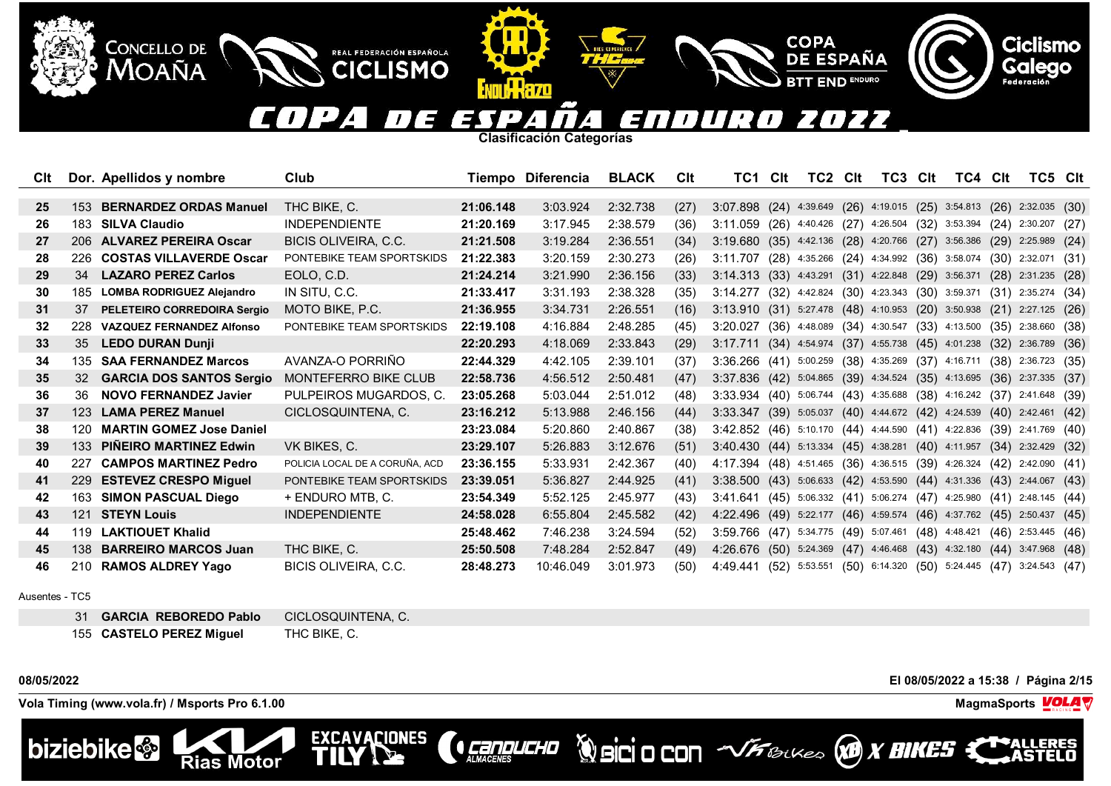### $(1) 24$ 2022 E 6000 Έ l D  $\prime$ 4.

**COPA** 

**DE ESPAÑA** 

**END ENDURO** 

**Clasificación Categorías**

| Clt |     | Dor. Apellidos y nombre          | Club                           |           | Tiempo Diferencia | <b>BLACK</b> | CIt  | TC1                                                                   | Clt  | TC2 | Clt | TC3 | Clt | TC4 Clt                                                         |      | TC5 Clt                                                                |      |
|-----|-----|----------------------------------|--------------------------------|-----------|-------------------|--------------|------|-----------------------------------------------------------------------|------|-----|-----|-----|-----|-----------------------------------------------------------------|------|------------------------------------------------------------------------|------|
| 25  | 153 | <b>BERNARDEZ ORDAS Manuel</b>    | THC BIKE, C.                   | 21:06.148 | 3:03.924          | 2:32.738     | (27) | 3:07.898                                                              |      |     |     |     |     | $(24)$ 4:39.649 $(26)$ 4:19.015 $(25)$ 3:54.813 $(26)$          |      | $2:32.035$ (30)                                                        |      |
| 26  | 183 | <b>SILVA Claudio</b>             | <b>INDEPENDIENTE</b>           | 21:20.169 | 3:17.945          | 2:38.579     | (36) | 3:11.059                                                              |      |     |     |     |     |                                                                 |      |                                                                        |      |
|     |     |                                  |                                |           |                   |              |      |                                                                       |      |     |     |     |     | $(26)$ 4:40.426 $(27)$ 4:26.504 $(32)$ 3:53.394 $(24)$          |      | 2:30.207 (27)                                                          |      |
| 27  |     | 206 ALVAREZ PEREIRA Oscar        | <b>BICIS OLIVEIRA, C.C.</b>    | 21:21.508 | 3:19.284          | 2:36.551     | (34) | 3:19.680 (35) 4:42.136 (28) 4:20.766 (27) 3:56.386                    |      |     |     |     |     |                                                                 |      | $(29)$ 2:25.989 $(24)$                                                 |      |
| 28  | 226 | <b>COSTAS VILLAVERDE Oscar</b>   | PONTEBIKE TEAM SPORTSKIDS      | 21:22.383 | 3:20.159          | 2:30.273     | (26) | 3:11.707                                                              |      |     |     |     |     |                                                                 |      | $(28)$ 4:35.266 $(24)$ 4:34.992 $(36)$ 3:58.074 $(30)$ 2:32.071 $(31)$ |      |
| 29  | 34  | <b>LAZARO PEREZ Carlos</b>       | EOLO, C.D.                     | 21:24.214 | 3:21.990          | 2:36.156     | (33) | 3:14.313 (33) 4:43.291 (31) 4:22.848 (29) 3:56.371                    |      |     |     |     |     |                                                                 |      | $(28)$ 2:31.235 $(28)$                                                 |      |
| 30  | 185 | <b>LOMBA RODRIGUEZ Alejandro</b> | IN SITU, C.C.                  | 21:33.417 | 3:31.193          | 2:38.328     | (35) | 3:14.277 (32) 4:42.824 (30) 4:23.343 (30) 3:59.371                    |      |     |     |     |     |                                                                 |      | $(31)$ 2:35.274 $(34)$                                                 |      |
| 31  | 37  | PELETEIRO CORREDOIRA Sergio      | MOTO BIKE, P.C.                | 21:36.955 | 3:34.731          | 2:26.551     | (16) | 3:13.910 (31) 5:27.478 (48) 4:10.953 (20) 3:50.938                    |      |     |     |     |     |                                                                 |      | $(21)$ 2:27.125 $(26)$                                                 |      |
| 32  | 228 | <b>VAZQUEZ FERNANDEZ Alfonso</b> | PONTEBIKE TEAM SPORTSKIDS      | 22:19.108 | 4:16.884          | 2:48.285     | (45) | 3:20.027                                                              |      |     |     |     |     | $(36)$ 4:48.089 $(34)$ 4:30.547 $(33)$ 4:13.500                 | (35) | 2:38.660 (38)                                                          |      |
| 33  | 35  | <b>LEDO DURAN Dunji</b>          |                                | 22:20.293 | 4:18.069          | 2:33.843     | (29) | 3:17.711                                                              |      |     |     |     |     | $(34)$ 4:54.974 $(37)$ 4:55.738 $(45)$ 4:01.238                 |      | $(32)$ 2:36.789 $(36)$                                                 |      |
| 34  |     | 135 SAA FERNANDEZ Marcos         | AVANZA-O PORRIÑO               | 22:44.329 | 4:42.105          | 2:39.101     | (37) | 3:36.266 (41) 5:00.259 (38) 4:35.269 (37) 4:16.711 (38) 2:36.723 (35) |      |     |     |     |     |                                                                 |      |                                                                        |      |
| 35  | 32  | <b>GARCIA DOS SANTOS Sergio</b>  | MONTEFERRO BIKE CLUB           | 22:58.736 | 4:56.512          | 2:50.481     | (47) | 3:37.836 (42) 5:04.865 (39) 4:34.524 (35) 4:13.695                    |      |     |     |     |     |                                                                 |      | $(36)$ 2:37.335 $(37)$                                                 |      |
| 36  | 36  | <b>NOVO FERNANDEZ Javier</b>     | PULPEIROS MUGARDOS, C.         | 23:05.268 | 5:03.044          | 2:51.012     | (48) | 3:33.934 (40) 5:06.744 (43) 4:35.688 (38) 4:16.242 (37) 2:41.648 (39) |      |     |     |     |     |                                                                 |      |                                                                        |      |
| 37  |     | 123 LAMA PEREZ Manuel            | CICLOSQUINTENA, C.             | 23:16.212 | 5:13.988          | 2:46.156     | (44) | 3:33.347                                                              |      |     |     |     |     | $(39)$ 5:05.037 $(40)$ 4:44.672 $(42)$ 4:24.539 $(40)$ 2:42.461 |      |                                                                        | (42) |
| 38  | 120 | <b>MARTIN GOMEZ Jose Daniel</b>  |                                | 23:23.084 | 5:20.860          | 2:40.867     | (38) | 3:42.852 (46) 5:10.170 (44) 4:44.590 (41) 4:22.836 (39) 2:41.769 (40) |      |     |     |     |     |                                                                 |      |                                                                        |      |
| 39  | 133 | <b>PINEIRO MARTINEZ Edwin</b>    | VK BIKES, C.                   | 23:29.107 | 5:26.883          | 3:12.676     | (51) | 3:40.430 (44) 5:13.334 (45) 4:38.281 (40) 4:11.957 (34) 2:32.429 (32) |      |     |     |     |     |                                                                 |      |                                                                        |      |
| 40  | 227 | <b>CAMPOS MARTINEZ Pedro</b>     | POLICIA LOCAL DE A CORUÑA. ACD | 23:36.155 | 5:33.931          | 2:42.367     | (40) | 4:17.394                                                              |      |     |     |     |     | $(48)$ 4:51.465 $(36)$ 4:36.515 $(39)$ 4:26.324 $(42)$          |      | 2:42.090 (41)                                                          |      |
| 41  | 229 | <b>ESTEVEZ CRESPO Miguel</b>     | PONTEBIKE TEAM SPORTSKIDS      | 23:39.051 | 5:36.827          | 2:44.925     | (41) | 3:38.500 (43) 5:06.633 (42) 4:53.590 (44) 4:31.336 (43) 2:44.067 (43) |      |     |     |     |     |                                                                 |      |                                                                        |      |
| 42  | 163 | <b>SIMON PASCUAL Diego</b>       | + ENDURO MTB. C.               | 23:54.349 | 5:52.125          | 2:45.977     | (43) | 3:41.641                                                              |      |     |     |     |     | $(45)$ 5:06.332 $(41)$ 5:06.274 $(47)$ 4:25.980 $(41)$          |      | 2:48.145 (44)                                                          |      |
| 43  | 121 | <b>STEYN Louis</b>               | <b>INDEPENDIENTE</b>           | 24:58.028 | 6:55.804          | 2:45.582     | (42) | 4:22.496                                                              | (49) |     |     |     |     | 5:22.177 (46) 4:59.574 (46) 4:37.762 (45)                       |      | 2:50.437                                                               | (45) |
| 44  | 119 | <b>LAKTIOUET Khalid</b>          |                                | 25:48.462 | 7:46.238          | 3:24.594     | (52) | 3:59.766                                                              |      |     |     |     |     | (47) 5:34.775 (49) 5:07.461 (48) 4:48.421                       | (46) | 2:53.445                                                               | (46) |
| 45  | 138 | <b>BARREIRO MARCOS Juan</b>      | THC BIKE, C.                   | 25:50.508 | 7:48.284          | 2:52.847     | (49) | 4:26.676                                                              | (50) |     |     |     |     | 5:24.369 (47) 4:46.468 (43) 4:32.180                            |      | $(44)$ 3:47.968                                                        | (48) |
| 46  |     | 210 RAMOS ALDREY Yago            | BICIS OLIVEIRA, C.C.           | 28:48.273 | 10:46.049         | 3:01.973     | (50) | 4:49.441                                                              |      |     |     |     |     |                                                                 |      | $(52)$ 5:53.551 $(50)$ 6:14.320 $(50)$ 5:24.445 $(47)$ 3:24.543 $(47)$ |      |

**CENTRACERES** 

Ausentes - TC5

31 **GARCIA REBOREDO Pablo** CICLOSQUINTENA, C. 155 **CASTELO PEREZ Miguel** THC BIKE, C.

**Vola Timing (www.vola.fr) / Msports Pro 6.1.00 MagmaSports VOLA** 

**CONCELLO DE** 

Moaña





REAL FEDERACIÓN ESPAÑOLA

**CICLISMO** 

**08/05/2022 El 08/05/2022 a 15:38 / Página 2/15**



**WorkSittU** 

**Ciclismo**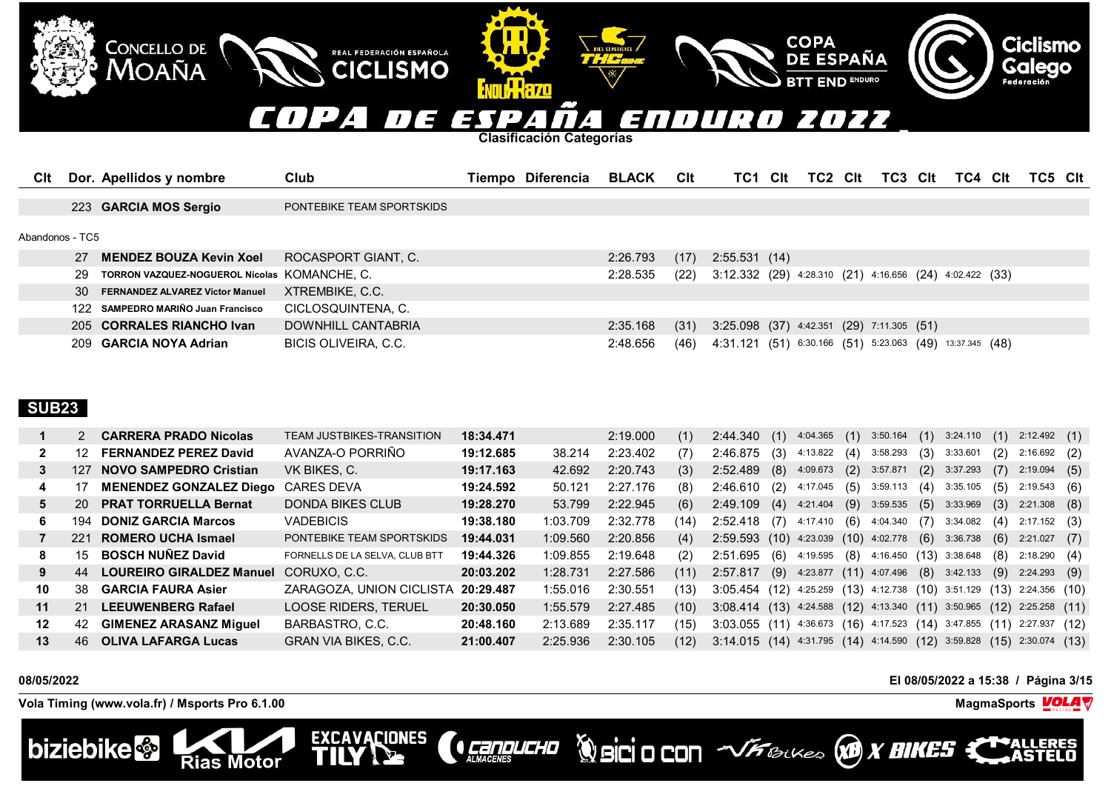

| 27              | MENDEZ BOUZA Kevin Xoel                      | ROCASPORT GIANT, C.  | $2:26.793$ (17) |      | 2:55.531 (14)                                                   |
|-----------------|----------------------------------------------|----------------------|-----------------|------|-----------------------------------------------------------------|
| 29              | TORRON VAZQUEZ-NOGUEROL Nicolas KOMANCHE, C. |                      | 2:28.535        | (22) | 3:12.332 (29) 4:28.310 (21) 4:16.656 (24) 4:02.422 (33)         |
| 30 <sup>2</sup> | <b>FERNANDEZ ALVAREZ Victor Manuel</b>       | XTREMBIKE, C.C.      |                 |      |                                                                 |
|                 | 122 SAMPEDRO MARIÑO Juan Francisco           | CICLOSQUINTENA, C.   |                 |      |                                                                 |
|                 | 205 CORRALES RIANCHO Ivan                    | DOWNHILL CANTABRIA   | $2:35.168$ (31) |      | 3:25.098 (37) 4:42.351 (29) 7:11.305 (51)                       |
|                 | 209 GARCIA NOYA Adrian                       | BICIS OLIVEIRA, C.C. | 2:48.656        |      | $(46)$ 4:31.121 (51) 6:30.166 (51) 5:23.063 (49) 13:37.345 (48) |
|                 |                                              |                      |                 |      |                                                                 |

# **SUB23**

|    |     | <b>CARRERA PRADO Nicolas</b>    | TEAM JUSTBIKES-TRANSITION      | 18:34.471 |          | 2:19.000 | (1)  | $2:44.340$ (1) $4:04.365$ (1) $3:50.164$ (1) $3:24.110$                         |     |                                     |     |                      |     |                | (1)  | $2:12.492$ (1)       |     |
|----|-----|---------------------------------|--------------------------------|-----------|----------|----------|------|---------------------------------------------------------------------------------|-----|-------------------------------------|-----|----------------------|-----|----------------|------|----------------------|-----|
| 2  | -12 | <b>FERNANDEZ PEREZ David</b>    | AVANZA-O PORRIÑO               | 19:12.685 | 38.214   | 2:23.402 | (7)  | 2:46.875                                                                        | (3) | 4:13.822                            |     | $(4)$ 3:58.293       | (3) | 3:33.601       | (2)  | $2:16.692$ (2)       |     |
| 3  | 127 | <b>NOVO SAMPEDRO Cristian</b>   | VK BIKES, C.                   | 19:17.163 | 42.692   | 2:20.743 | (3)  | $2:52.489$ (8)                                                                  |     | 4:09.673                            |     | $(2)$ 3:57.871       |     | $(2)$ 3:37.293 | (7)  | 2:19.094             | (5) |
| 4  |     | <b>MENENDEZ GONZALEZ Diego</b>  | <b>CARES DEVA</b>              | 19:24.592 | 50.121   | 2:27.176 | (8)  | 2:46.610                                                                        | (2) | 4:17.045                            | (5) | 3:59.113             | (4) | 3:35.105       | (5)  | 2:19.543             | (6) |
| 5. | 20  | <b>PRAT TORRUELLA Bernat</b>    | DONDA BIKES CLUB               | 19:28.270 | 53.799   | 2:22.945 | (6)  | $2:49.109$ (4)                                                                  |     | 4:21.404                            |     | $(9)$ 3:59.535 $(5)$ |     | 3:33.969       | (3)  | $2:21.308$ (8)       |     |
| 6. | 194 | <b>DONIZ GARCIA Marcos</b>      | <b>VADEBICIS</b>               | 19:38.180 | 1:03.709 | 2:32.778 | (14) | $2:52.418$ (7)                                                                  |     | 4:17.410                            |     | $(6)$ 4:04.340       | (7) | 3:34.082       | (4)  | 2:17.152 (3)         |     |
|    | 221 | ROMERO UCHA Ismael              | PONTEBIKE TEAM SPORTSKIDS      | 19:44.031 | 1:09.560 | 2:20.856 | (4)  | $2:59.593$ (10) 4:23.039 (10) 4:02.778 (6)                                      |     |                                     |     |                      |     | 3:36.738       | (6)  | $2:21.027$ (7)       |     |
| 8  | 15  | <b>BOSCH NUNEZ David</b>        | FORNELLS DE LA SELVA. CLUB BTT | 19:44.326 | 1:09.855 | 2:19.648 | (2)  | $2:51.695$ (6)                                                                  |     | 4:19.595 (8) 4:16.450 (13) 3:38.648 |     |                      |     |                | (8)  | 2:18.290(4)          |     |
| 9  | 44  | <b>LOUREIRO GIRALDEZ Manuel</b> | CORUXO, C.C.                   | 20:03.202 | 1:28.731 | 2:27.586 | (11) | 2:57.817 (9) 4:23.877 (11) 4:07.496 (8) 3:42.133                                |     |                                     |     |                      |     |                |      | $(9)$ 2:24.293 $(9)$ |     |
| 10 | .38 | <b>GARCIA FAURA Asier</b>       | ZARAGOZA, UNION CICLISTA       | 20:29.487 | 1:55.016 | 2:30.551 | (13) | $3:05.454$ (12) $4:25.259$ (13) $4:12.738$ (10) $3:51.129$ (13) $2:24.356$ (10) |     |                                     |     |                      |     |                |      |                      |     |
| 11 | 21  | <b>LEEUWENBERG Rafael</b>       | LOOSE RIDERS. TERUEL           | 20:30.050 | 1:55.579 | 2:27.485 | (10) | $3:08.414$ (13) 4:24.588 (12) 4:13.340 (11) 3:50.965 (12) 2:25.258 (11)         |     |                                     |     |                      |     |                |      |                      |     |
| 12 | 42  | <b>GIMENEZ ARASANZ Miquel</b>   | BARBASTRO, C.C.                | 20:48.160 | 2:13.689 | 2:35.117 | (15) | $3:03.055$ (11) 4:36.673 (16) 4:17.523 (14) 3:47.855                            |     |                                     |     |                      |     |                | (11) | 2:27.937 (12)        |     |
| 13 | 46. | <b>OLIVA LAFARGA Lucas</b>      | GRAN VIA BIKES, C.C.           | 21:00.407 | 2:25.936 | 2:30.105 | (12) | $3:14.015$ (14) $4:31.795$ (14) $4:14.590$ (12) $3:59.828$ (15) $2:30.074$ (13) |     |                                     |     |                      |     |                |      |                      |     |

*Cannucho* 

**Vola Timing (www.vola.fr) / Msports Pro 6.1.00 MagmaSports VOLA** 

**Rias Motor** 

**EXCAVACIONES** 

ш



**08/05/2022 El 08/05/2022 a 15:38 / Página 3/15**



**WorkSittU**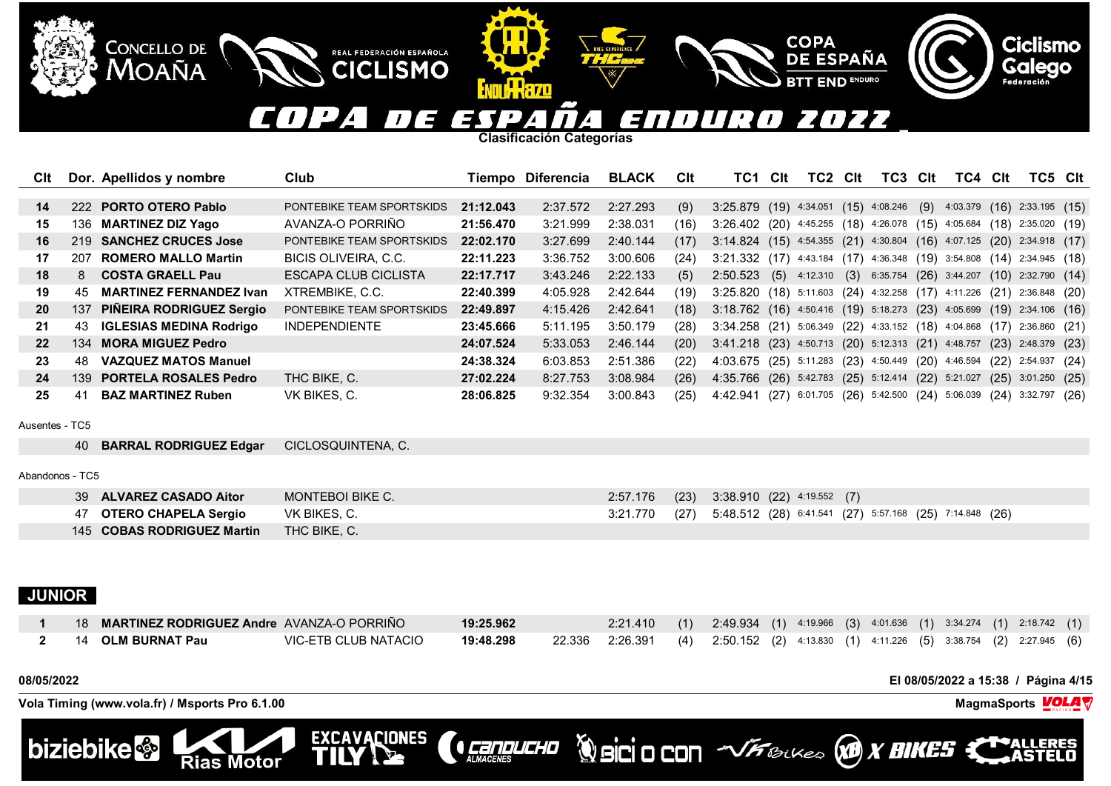## COPA TT E ENDURO 2022 ES  $\mathbf{L}$ 4

**Clasificación Categorías**

III.KAZO

REAL FEDERACIÓN ESPAÑOLA

**CICLISMO** 

EXCAVACIONES

| Clt               |             | Dor. Apellidos y nombre         | Club                      |           | Tiempo Diferencia | <b>BLACK</b> | <b>C</b> lt | TC1                                                                            | Clt | TC2 | Clt | TC3 | Clt | TC4 | <b>CIt</b> | TC5 Clt |  |
|-------------------|-------------|---------------------------------|---------------------------|-----------|-------------------|--------------|-------------|--------------------------------------------------------------------------------|-----|-----|-----|-----|-----|-----|------------|---------|--|
|                   |             |                                 |                           |           |                   |              |             |                                                                                |     |     |     |     |     |     |            |         |  |
| 14                |             | 222 PORTO OTERO Pablo           | PONTEBIKE TEAM SPORTSKIDS | 21:12.043 | 2:37.572          | 2:27.293     | (9)         | $3:25.879$ (19) $4:34.051$ (15) $4:08.246$ (9) $4:03.379$ (16) $2:33.195$ (15) |     |     |     |     |     |     |            |         |  |
| 15                |             | 136 MARTINEZ DIZ Yago           | AVANZA-O PORRIÑO          | 21:56.470 | 3:21.999          | 2:38.031     | (16)        | 3:26.402 (20) 4:45.255 (18) 4:26.078 (15) 4:05.684 (18) 2:35.020 (19)          |     |     |     |     |     |     |            |         |  |
| 16                |             | 219 SANCHEZ CRUCES Jose         | PONTEBIKE TEAM SPORTSKIDS | 22:02.170 | 3:27.699          | 2:40.144     | (17)        | $3:14.824$ (15) 4:54.355 (21) 4:30.804 (16) 4:07.125 (20) 2:34.918 (17)        |     |     |     |     |     |     |            |         |  |
| 17                | 207         | <b>ROMERO MALLO Martin</b>      | BICIS OLIVEIRA, C.C.      | 22:11.223 | 3:36.752          | 3:00.606     | (24)        | 3:21.332 (17) 4:43.184 (17) 4:36.348 (19) 3:54.808 (14) 2:34.945 (18)          |     |     |     |     |     |     |            |         |  |
| 18                | $8^{\circ}$ | <b>COSTA GRAELL Pau</b>         | ESCAPA CLUB CICLISTA      | 22:17.717 | 3:43.246          | 2:22.133     | (5)         | 2:50.523 (5) 4:12.310 (3) 6:35.754 (26) 3:44.207 (10) 2:32.790 (14)            |     |     |     |     |     |     |            |         |  |
| 19                | 45          | <b>MARTINEZ FERNANDEZ Ivan</b>  | XTREMBIKE, C.C.           | 22:40.399 | 4:05.928          | 2:42.644     | (19)        | 3:25.820 (18) 5:11.603 (24) 4:32.258 (17) 4:11.226 (21) 2:36.848 (20)          |     |     |     |     |     |     |            |         |  |
| <b>20</b>         | 137         | <b>PINEIRA RODRIGUEZ Sergio</b> | PONTEBIKE TEAM SPORTSKIDS | 22:49.897 | 4:15.426          | 2:42.641     | (18)        | 3:18.762 (16) 4:50.416 (19) 5:18.273 (23) 4:05.699 (19) 2:34.106 (16)          |     |     |     |     |     |     |            |         |  |
| 21                | 43          | <b>IGLESIAS MEDINA Rodrigo</b>  | <b>INDEPENDIENTE</b>      | 23:45.666 | 5:11.195          | 3:50.179     | (28)        | 3:34.258 (21) 5:06.349 (22) 4:33.152 (18) 4:04.868 (17) 2:36.860 (21)          |     |     |     |     |     |     |            |         |  |
| $22 \overline{ }$ |             | 134 MORA MIGUEZ Pedro           |                           | 24:07.524 | 5:33.053          | 2:46.144     | (20)        | 3:41.218 (23) 4:50.713 (20) 5:12.313 (21) 4:48.757 (23) 2:48.379 (23)          |     |     |     |     |     |     |            |         |  |
| 23                | 48.         | <b>VAZQUEZ MATOS Manuel</b>     |                           | 24:38.324 | 6:03.853          | 2:51.386     | (22)        | 4:03.675 (25) 5:11.283 (23) 4:50.449 (20) 4:46.594 (22) 2:54.937 (24)          |     |     |     |     |     |     |            |         |  |
| 24                |             | 139 PORTELA ROSALES Pedro       | THC BIKE, C.              | 27:02.224 | 8:27.753          | 3:08.984     | (26)        | 4:35.766 (26) 5:42.783 (25) 5:12.414 (22) 5:21.027 (25) 3:01.250 (25)          |     |     |     |     |     |     |            |         |  |
| 25                | 41          | <b>BAZ MARTINEZ Ruben</b>       | VK BIKES, C.              | 28:06.825 | 9:32.354          | 3:00.843     | (25)        | 4:42.941 (27) 6:01.705 (26) 5:42.500 (24) 5:06.039 (24) 3:32.797 (26)          |     |     |     |     |     |     |            |         |  |
| Ausentes - TC5    |             |                                 |                           |           |                   |              |             |                                                                                |     |     |     |     |     |     |            |         |  |
|                   | 40          | <b>BARRAL RODRIGUEZ Edgar</b>   | CICLOSQUINTENA, C.        |           |                   |              |             |                                                                                |     |     |     |     |     |     |            |         |  |

Abandonos - TC5

| 39 ALVAREZ CASADO Aitor    | MONTEBOI BIKE C. |  | 2:57.176 (23) 3:38.910 (22) 4:19.552 (7)                              |
|----------------------------|------------------|--|-----------------------------------------------------------------------|
| 47 OTERO CHAPELA Sergio    | VK BIKES, C.     |  | 3:21.770 (27) 5:48.512 (28) 6:41.541 (27) 5:57.168 (25) 7:14.848 (26) |
| 145 COBAS RODRIGUEZ Martin | THC BIKE, C.     |  |                                                                       |

# **JUNIOR**

| 18 MARTINEZ RODRIGUEZ Andre AVANZA-O PORRIÑO |                      | 19:25.962 | 2:21.410 (1) 2:49.934 (1) 4:19.966 (3) 4:01.636 (1) 3:34.274 (1) 2:18.742 (1)        |  |  |  |  |  |  |
|----------------------------------------------|----------------------|-----------|--------------------------------------------------------------------------------------|--|--|--|--|--|--|
| 14 OLM BURNAT Pau                            | VIC-ETB CLUB NATACIO | 19:48.298 | 22.336 2:26.391 (4) 2:50.152 (2) 4:13.830 (1) 4:11.226 (5) 3:38.754 (2) 2:27.945 (6) |  |  |  |  |  |  |

**CEREDUCHO** 

**08/05/2022 El 08/05/2022 a 15:38 / Página 4/15**

**Ciclismo** 

Galego

**Volcio CON** With Backles **VO X BIKES** 

**COPA** 

**DE ESPAÑA** 

**END ENDURO** 

**Vola Timing (www.vola.fr) / Msports Pro 6.1.00 MagmaSports VOLA** 

**Rias Motor** 

**CONCELLO DE** 

Moaña

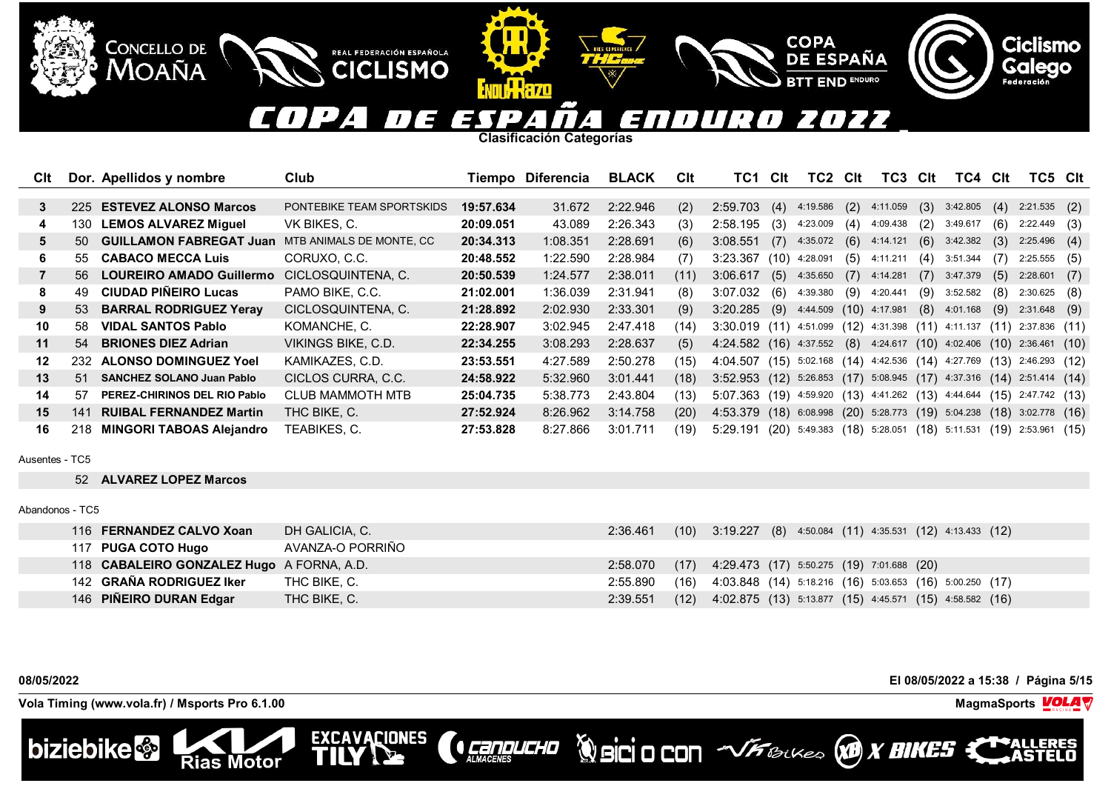### COPA n E ENDUR 2022 7 EXT  $\mathcal{L}$  $\mathbf{I}$  $\overline{a}$  .

**Clasificación Categorías**

REAL FEDERACIÓN ESPAÑOLA

**CICLISMO** 

EXCAVACIONES

| Clt |      | Dor. Apellidos y nombre          | Club                      |           | Tiempo Diferencia | <b>BLACK</b> | CIt  | TC1                                                                   | Clt | TC2             | <b>Clt</b> | TC3                                             | Clt | TC4            | Clt  | TC5 Clt                |     |
|-----|------|----------------------------------|---------------------------|-----------|-------------------|--------------|------|-----------------------------------------------------------------------|-----|-----------------|------------|-------------------------------------------------|-----|----------------|------|------------------------|-----|
|     |      |                                  |                           |           |                   |              |      |                                                                       |     |                 |            |                                                 |     |                |      |                        |     |
| 3   | 225  | <b>ESTEVEZ ALONSO Marcos</b>     | PONTEBIKE TEAM SPORTSKIDS | 19:57.634 | 31.672            | 2:22.946     | (2)  | 2:59.703                                                              | (4) | 4:19.586        | (2)        | 4:11.059                                        | (3) | 3:42.805       | (4)  | $2:21.535$ (2)         |     |
| 4   | 130- | <b>LEMOS ALVAREZ Miguel</b>      | VK BIKES, C.              | 20:09.051 | 43.089            | 2:26.343     | (3)  | 2:58.195                                                              | (3) | 4:23.009        | (4)        | 4:09.438                                        | (2) | 3:49.617       | (6)  | 2:22.449               | (3) |
| 5.  | 50   | <b>GUILLAMON FABREGAT Juan</b>   | MTB ANIMALS DE MONTE, CC  | 20:34.313 | 1:08.351          | 2:28.691     | (6)  | 3:08.551                                                              |     | $(7)$ 4:35.072  |            | $(6)$ 4:14.121                                  | (6) | 3:42.382       | (3)  | $2:25.496$ (4)         |     |
| 6.  | 55   | <b>CABACO MECCA Luis</b>         | CORUXO, C.C.              | 20:48.552 | 1:22.590          | 2:28.984     | (7)  | 3:23.367                                                              |     | $(10)$ 4:28.091 | (5)        | 4:11.211                                        | (4) | 3:51.344       | (7)  | 2:25.555               | (5) |
|     |      | 56 LOUREIRO AMADO Guillermo      | CICLOSQUINTENA, C.        | 20:50.539 | 1:24.577          | 2:38.011     | (11) | 3:06.617                                                              | (5) | 4:35.650        |            | $(7)$ 4:14.281                                  | (7) | 3:47.379       | (5)  | 2:28.601               | (7) |
| 8   | 49   | <b>CIUDAD PIÑEIRO Lucas</b>      | PAMO BIKE, C.C.           | 21:02.001 | 1:36.039          | 2:31.941     | (8)  | $3:07.032$ (6)                                                        |     | 4:39.380        | (9)        | 4:20.441                                        | (9) | 3:52.582       | (8)  | $2:30.625$ (8)         |     |
| 9   |      | 53 BARRAL RODRIGUEZ Yeray        | CICLOSQUINTENA, C.        | 21:28.892 | 2:02.930          | 2:33.301     | (9)  | $3:20.285$ (9) $4:44.509$ (10) $4:17.981$                             |     |                 |            |                                                 |     | $(8)$ 4:01.168 | (9)  | 2:31.648               | (9) |
| 10  | 58.  | <b>VIDAL SANTOS Pablo</b>        | KOMANCHE, C.              | 22:28.907 | 3:02.945          | 2:47.418     | (14) | 3:30.019 (11) 4:51.099 (12) 4:31.398 (11)                             |     |                 |            |                                                 |     | 4:11.137       | (11) | $2:37.836$ (11)        |     |
| 11  | 54   | <b>BRIONES DIEZ Adrian</b>       | VIKINGS BIKE, C.D.        | 22:34.255 | 3:08.293          | 2:28.637     | (5)  | 4:24.582 (16) 4:37.552 (8) 4:24.617 (10) 4:02.406 (10) 2:36.461 (10)  |     |                 |            |                                                 |     |                |      |                        |     |
| 12  |      | 232 ALONSO DOMINGUEZ Yoel        | KAMIKAZES, C.D.           | 23:53.551 | 4:27.589          | 2:50.278     | (15) | 4:04.507 (15) 5:02.168 (14) 4:42.536 (14) 4:27.769 (13) 2:46.293 (12) |     |                 |            |                                                 |     |                |      |                        |     |
| 13  | 51   | <b>SANCHEZ SOLANO Juan Pablo</b> | CICLOS CURRA, C.C.        | 24:58.922 | 5:32.960          | 3:01.441     | (18) | 3:52.953 (12) 5:26.853 (17) 5:08.945 (17) 4:37.316 (14) 2:51.414 (14) |     |                 |            |                                                 |     |                |      |                        |     |
| 14  | 57.  | PEREZ-CHIRINOS DEL RIO Pablo     | <b>CLUB MAMMOTH MTB</b>   | 25:04.735 | 5:38.773          | 2:43.804     | (13) | 5:07.363 (19) 4:59.920 (13) 4:41.262 (13) 4:44.644                    |     |                 |            |                                                 |     |                | (15) | 2:47.742 (13)          |     |
| 15  | 141  | <b>RUIBAL FERNANDEZ Martin</b>   | THC BIKE, C.              | 27:52.924 | 8:26.962          | 3:14.758     | (20) | 4:53.379 (18)                                                         |     |                 |            | 6:08.998 (20) 5:28.773 (19) 5:04.238            |     |                |      | $(18)$ 3:02.778 $(16)$ |     |
| 16  |      | 218 MINGORI TABOAS Alejandro     | TEABIKES, C.              | 27:53.828 | 8:27.866          | 3:01.711     | (19) | 5:29.191                                                              |     |                 |            | $(20)$ 5:49.383 $(18)$ 5:28.051 $(18)$ 5:11.531 |     |                |      | $(19)$ 2:53.961 $(15)$ |     |

Ausentes - TC5

52 **ALVAREZ LOPEZ Marcos**

CONCELLO DE MOAÑA

Abandonos - TC5

| 116 FERNANDEZ CALVO Xoan                  | DH GALICIA, C.   | 2:36.461 |      | $(10)$ 3:19.227 (8) 4:50.084 (11) 4:35.531 (12) 4:13.433 (12)  |
|-------------------------------------------|------------------|----------|------|----------------------------------------------------------------|
| 117 PUGA COTO Hugo                        | AVANZA-O PORRIÑO |          |      |                                                                |
| 118 CABALEIRO GONZALEZ Hugo A FORNA, A.D. |                  | 2:58.070 |      | $(17)$ 4:29.473 (17) 5:50.275 (19) 7:01.688 (20)               |
| 142 GRAÑA RODRIGUEZ Iker                  | THC BIKE, C.     | 2:55.890 |      | $(16)$ 4:03.848 (14) 5:18.216 (16) 5:03.653 (16) 5:00.250 (17) |
| 146 PIÑEIRO DURAN Edgar                   | THC BIKE, C.     | 2:39.551 | (12) | 4:02.875 (13) 5:13.877 (15) 4:45.571 (15) 4:58.582 (16)        |

**CONDUCHO** 



**Volcio CON VFBLUES X BIKES X** 

**COPA** 

**DE ESPAÑA** 

**END ENDURO** 

**Ciclismo** 

Galego

**Vola Timing (www.vola.fr) / Msports Pro 6.1.00 MagmaSports VOLA** 

**Rias Motor** 

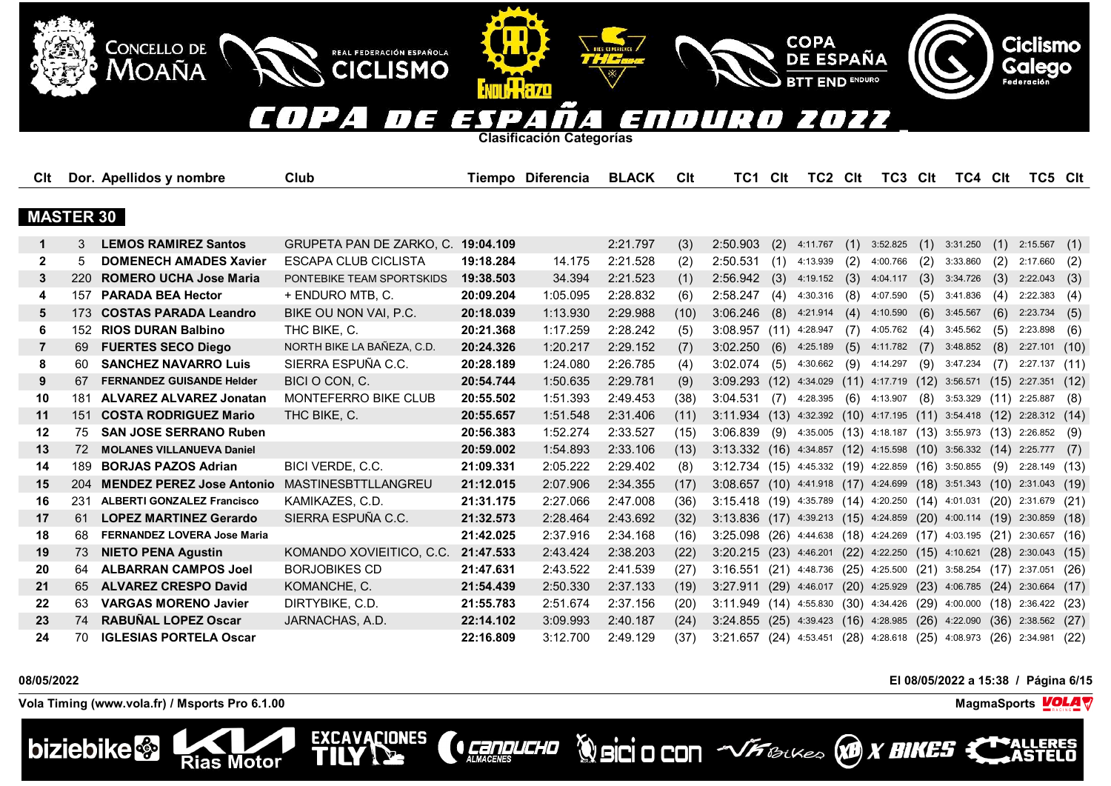## **COPA Ciclismo CONCELLO DE** REAL FEDERACIÓN ESPAÑOLA DE ESPAÑA **Galego** Moaña **CICLISMO END ENDURO** Federación **ENTILL LARGED**  $(1124)$ **TTE** 7077 ESP  $\overline{H}$ n URA  $\boldsymbol{A}$  .  $\overline{I}$ 4 **Clasificación Categorías** Cit Dor. Apellidos y nombre Club Club Tiempo Diferencia BLACK Cit TC1 Cit TC2 Cit TC3 Cit TC4 Cit TC5 Cit  **MASTER 30 1** 3 **LEMOS RAMIREZ Santos** GRUPETA PAN DE ZARKO, C. **19:04.109** 2:21.797 (3) 2:50.903 (2) 4:11.767 (1) 3:52.825 (1) 3:31.250 (1) 2:15.567 (1) **2** 5 **DOMENECH AMADES Xavier** ESCAPA CLUB CICLISTA **19:18.284** 14.175 2:21.528 (2) 2:50.531 (1) 4:13.939 (2) 4:00.766 (2) 3:33.860 (2) 2:17.660 (2) **3** 220 **ROMERO UCHA Jose Maria** PONTEBIKE TEAM SPORTSKIDS **19:38.503** 34.394 2:21.523 (1) 2:56.942 (3) 4:19.152 (3) 4:04.117 (3) 3:34.726 (3) 2:22.043 (3) **4** 157 **PARADA BEA Hector** + ENDURO MTB, C. **20:09.204** 1:05.095 2:28.832 (6) 2:58.247 (4) 4:30.316 (8) 4:07.590 (5) 3:41.836 (4) 2:22.383 (4) **5** 173 **COSTAS PARADA Leandro** BIKE OU NON VAI, P.C. **20:18.039** 1:13.930 2:29.988 (10) 3:06.246 (8) 4:21.914 (4) 4:10.590 (6) 3:45.567 (6) 2:23.734 (5) **6** 152 **RIOS DURAN Balbino** THC BIKE, C. **20:21.368** 1:17.259 2:28.242 (5) 3:08.957 (11) 4:28.947 (7) 4:05.762 (4) 3:45.562 (5) 2:23.898 (6) **7** 69 **FUERTES SECO Diego** NORTH BIKE LA BAÑEZA, C.D. **20:24.326** 1:20.217 2:29.152 (7) 3:02.250 (6) 4:25.189 (5) 4:11.782 (7) 3:48.852 (8) 2:27.101 (10) **8** 60 **SANCHEZ NAVARRO Luis** SIERRA ESPUÑA C.C. **20:28.189** 1:24.080 2:26.785 (4) 3:02.074 (5) 4:30.662 (9) 4:14.297 (9) 3:47.234 (7) 2:27.137 (11) **9** 67 **FERNANDEZ GUISANDE Helder** BICI O CON, C. **20:54.744** 1:50.635 2:29.781 (9) 3:09.293 (12) 4:34.029 (11) 4:17.719 (12) 3:56.571 (15) 2:27.351 (12) **10** 181 **ALVAREZ ALVAREZ Jonatan** MONTEFERRO BIKE CLUB **20:55.502** 1:51.393 2:49.453 (38) 3:04.531 (7) 4:28.395 (6) 4:13.907 (8) 3:53.329 (11) 2:25.887 (8) **11** 151 **COSTA RODRIGUEZ Mario** THC BIKE, C. **20:55.657** 1:51.548 2:31.406 (11) 3:11.934 (13) 4:32.392 (10) 4:17.195 (11) 3:54.418 (12) 2:28.312 (14)

 75 **SAN JOSE SERRANO Ruben 20:56.383** 1:52.274 2:33.527 (15) 3:06.839 (9) 4:35.005 (13) 4:18.187 (13) 3:55.973 (13) 2:26.852 (9) 72 **MOLANES VILLANUEVA Daniel 20:59.002** 1:54.893 2:33.106 (13) 3:13.332 (16) 4:34.857 (12) 4:15.598 (10) 3:56.332 (14) 2:25.777 (7) 189 **BORJAS PAZOS Adrian** BICI VERDE, C.C. **21:09.331** 2:05.222 2:29.402 (8) 3:12.734 (15) 4:45.332 (19) 4:22.859 (16) 3:50.855 (9) 2:28.149 (13) 204 **MENDEZ PEREZ Jose Antonio** MASTINESBTTLLANGREU **21:12.015** 2:07.906 2:34.355 (17) 3:08.657 (10) 4:41.918 (17) 4:24.699 (18) 3:51.343 (10) 2:31.043 (19) 231 **ALBERTI GONZALEZ Francisco** KAMIKAZES, C.D. **21:31.175** 2:27.066 2:47.008 (36) 3:15.418 (19) 4:35.789 (14) 4:20.250 (14) 4:01.031 (20) 2:31.679 (21) 61 **LOPEZ MARTINEZ Gerardo** SIERRA ESPUÑA C.C. **21:32.573** 2:28.464 2:43.692 (32) 3:13.836 (17) 4:39.213 (15) 4:24.859 (20) 4:00.114 (19) 2:30.859 (18) 68 **FERNANDEZ LOVERA Jose Maria 21:42.025** 2:37.916 2:34.168 (16) 3:25.098 (26) 4:44.638 (18) 4:24.269 (17) 4:03.195 (21) 2:30.657 (16) 73 **NIETO PENA Agustin** KOMANDO XOVIEITICO, C.C. **21:47.533** 2:43.424 2:38.203 (22) 3:20.215 (23) 4:46.201 (22) 4:22.250 (15) 4:10.621 (28) 2:30.043 (15) 64 **ALBARRAN CAMPOS Joel** BORJOBIKES CD **21:47.631** 2:43.522 2:41.539 (27) 3:16.551 (21) 4:48.736 (25) 4:25.500 (21) 3:58.254 (17) 2:37.051 (26) 65 **ALVAREZ CRESPO David** KOMANCHE, C. **21:54.439** 2:50.330 2:37.133 (19) 3:27.911 (29) 4:46.017 (20) 4:25.929 (23) 4:06.785 (24) 2:30.664 (17) 63 **VARGAS MORENO Javier** DIRTYBIKE, C.D. **21:55.783** 2:51.674 2:37.156 (20) 3:11.949 (14) 4:55.830 (30) 4:34.426 (29) 4:00.000 (18) 2:36.422 (23) 74 **RABUÑAL LOPEZ Oscar** JARNACHAS, A.D. **22:14.102** 3:09.993 2:40.187 (24) 3:24.855 (25) 4:39.423 (16) 4:28.985 (26) 4:22.090 (36) 2:38.562 (27) 70 **IGLESIAS PORTELA Oscar 22:16.809** 3:12.700 2:49.129 (37) 3:21.657 (24) 4:53.451 (28) 4:28.618 (25) 4:08.973 (26) 2:34.981 (22)

**Q Cangucho** 

**EXCAVACIONES** 

Ш

**08/05/2022 El 08/05/2022 a 15:38 / Página 6/15**

**Vola Timing (www.vola.fr) / Msports Pro 6.1.00 MagmaSports**

Rias Motor



**WorkSittU** 

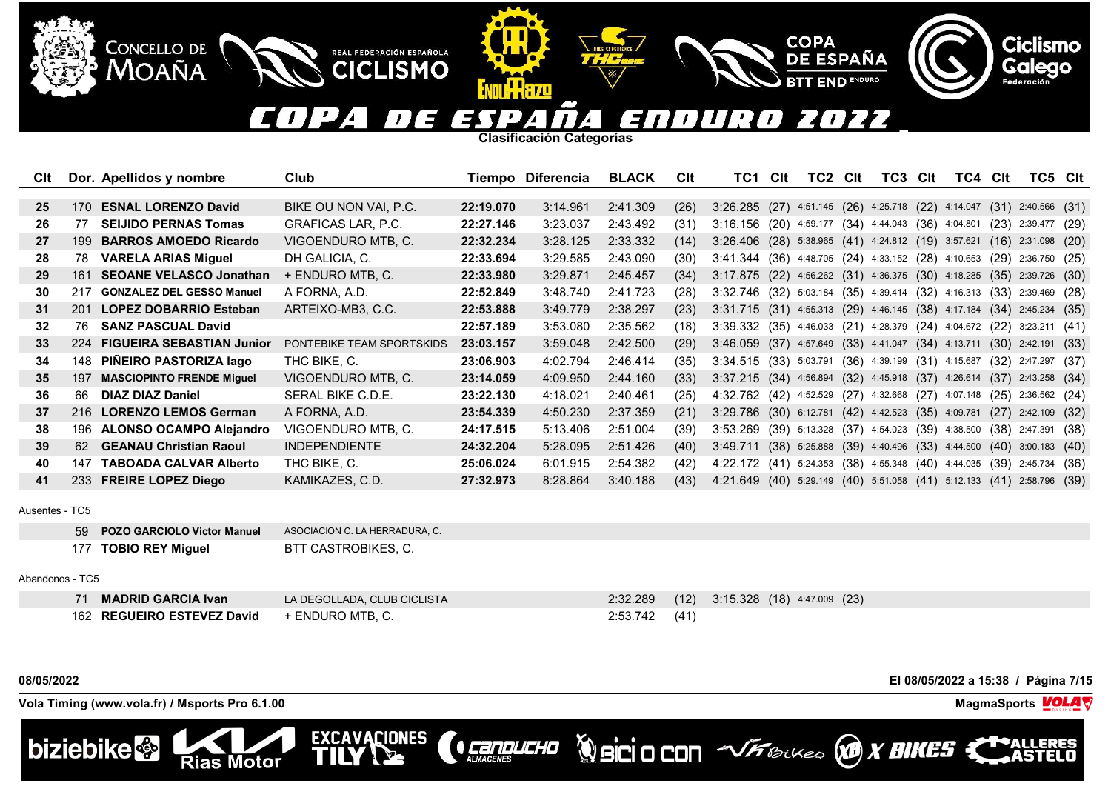### COPA ES **FE** ENDUR 2022  $\mathbf{L}$  $\mathcal{L}$  $\mathbf{I}$  $\overline{a}$  .

**COPA** 

**DE ESPAÑA** 

**END ENDURO** 

**Clasificación Categorías**

II Wazo

REAL FEDERACIÓN ESPAÑOLA

**CICLISMO** 

| Clt |       | Dor. Apellidos y nombre          | Club                      |           | Tiempo Diferencia | <b>BLACK</b> | <b>C</b> lt | TC1                                                     | <b>Clt</b> | TC2           | Clt | TC3                                    | Clt | TC4 Clt         |      | TC5 Clt                |      |
|-----|-------|----------------------------------|---------------------------|-----------|-------------------|--------------|-------------|---------------------------------------------------------|------------|---------------|-----|----------------------------------------|-----|-----------------|------|------------------------|------|
|     |       |                                  |                           |           |                   |              |             |                                                         |            |               |     |                                        |     |                 |      |                        |      |
| 25  | 170   | <b>ESNAL LORENZO David</b>       | BIKE OU NON VAI. P.C.     | 22:19.070 | 3:14.961          | 2:41.309     | (26)        | 3:26.285 (27) 4:51.145 (26) 4:25.718 (22) 4:14.047      |            |               |     |                                        |     |                 | (31) | $2:40.566$ (31)        |      |
| 26  | 77    | <b>SEIJIDO PERNAS Tomas</b>      | <b>GRAFICAS LAR, P.C.</b> | 22:27.146 | 3:23.037          | 2:43.492     | (31)        | 3:16.156                                                |            |               |     | $(20)$ 4:59.177 $(34)$ 4:44.043 $(36)$ |     | 4:04.801        | (23) | 2:39.477 (29)          |      |
| 27  | 199   | <b>BARROS AMOEDO Ricardo</b>     | VIGOENDURO MTB, C.        | 22:32.234 | 3:28.125          | 2:33.332     | (14)        | $3:26.406$ (28) 5:38.965 (41) 4:24.812 (19)             |            |               |     |                                        |     | 3:57.621        | (16) | $2:31.098$ (20)        |      |
| 28  | 78    | <b>VARELA ARIAS Miguel</b>       | DH GALICIA, C.            | 22:33.694 | 3:29.585          | 2:43.090     | (30)        | 3:41.344                                                |            |               |     | $(36)$ 4:48.705 $(24)$ 4:33.152 $(28)$ |     | 4:10.653        | (29) | 2:36.750 (25)          |      |
| 29  | 161   | <b>SEOANE VELASCO Jonathan</b>   | + ENDURO MTB, C.          | 22:33.980 | 3:29.871          | 2:45.457     | (34)        | 3:17.875 (22) 4:56.262 (31) 4:36.375 (30) 4:18.285      |            |               |     |                                        |     |                 | (35) | 2:39.726 (30)          |      |
| 30  | 217   | <b>GONZALEZ DEL GESSO Manuel</b> | A FORNA, A.D.             | 22:52.849 | 3:48.740          | 2:41.723     | (28)        | 3:32.746 (32) 5:03.184 (35) 4:39.414 (32) 4:16.313 (33) |            |               |     |                                        |     |                 |      | 2:39.469 (28)          |      |
| 31  | 201   | <b>LOPEZ DOBARRIO Esteban</b>    | ARTEIXO-MB3, C.C.         | 22:53.888 | 3:49.779          | 2:38.297     | (23)        | 3:31.715 (31) 4:55.313 (29) 4:46.145 (38) 4:17.184      |            |               |     |                                        |     |                 | (34) | 2:45.234 (35)          |      |
| 32  | 76.   | <b>SANZ PASCUAL David</b>        |                           | 22:57.189 | 3:53.080          | 2:35.562     | (18)        | 3:39.332 (35) 4:46.033 (21) 4:28.379 (24) 4:04.672 (22) |            |               |     |                                        |     |                 |      | $3:23.211$ (41)        |      |
| 33  | 224   | <b>FIGUEIRA SEBASTIAN Junior</b> | PONTEBIKE TEAM SPORTSKIDS | 23:03.157 | 3:59.048          | 2:42.500     | (29)        | 3:46.059 (37) 4:57.649 (33) 4:41.047 (34) 4:13.711      |            |               |     |                                        |     |                 |      | $(30)$ 2:42.191 $(33)$ |      |
| 34  | 148 - | PIÑEIRO PASTORIZA lago           | THC BIKE, C.              | 23:06.903 | 4:02.794          | 2:46.414     | (35)        | 3:34.515 (33) 5:03.791 (36) 4:39.199 (31) 4:15.687      |            |               |     |                                        |     |                 | (32) | 2:47.297 (37)          |      |
| 35  | 197   | <b>MASCIOPINTO FRENDE Miguel</b> | VIGOENDURO MTB, C.        | 23:14.059 | 4:09.950          | 2:44.160     | (33)        | 3:37.215 (34) 4:56.894 (32) 4:45.918 (37) 4:26.614      |            |               |     |                                        |     |                 | (37) | $2:43.258$ (34)        |      |
| 36  | -66   | <b>DIAZ DIAZ Daniel</b>          | SERAL BIKE C.D.E.         | 23:22.130 | 4:18.021          | 2:40.461     | (25)        | 4:32.762 (42) 4:52.529 (27) 4:32.668 (27) 4:07.148      |            |               |     |                                        |     |                 | (25) | 2:36.562 (24)          |      |
| 37  |       | 216 LORENZO LEMOS German         | A FORNA, A.D.             | 23:54.339 | 4:50.230          | 2:37.359     | (21)        | 3:29.786 (30) 6:12.781 (42) 4:42.523 (35)               |            |               |     |                                        |     | 4:09.781        | (27) | 2:42.109 (32)          |      |
| 38  |       | 196 ALONSO OCAMPO Alejandro      | VIGOENDURO MTB. C.        | 24:17.515 | 5:13.406          | 2:51.004     | (39)        | 3:53.269 (39) 5:13.328 (37) 4:54.023                    |            |               |     |                                        |     | $(39)$ 4:38.500 | (38) | 2:47.391 (38)          |      |
| 39  | 62    | <b>GEANAU Christian Raoul</b>    | <b>INDEPENDIENTE</b>      | 24:32.204 | 5:28.095          | 2:51.426     | (40)        | 3:49.711                                                | (38)       |               |     | 5:25.888 (39) 4:40.496 (33)            |     | 4:44.500        | (40) | 3:00.183               | (40) |
| 40  | 147   | <b>TABOADA CALVAR Alberto</b>    | THC BIKE, C.              | 25:06.024 | 6:01.915          | 2:54.382     | (42)        | 4:22.172(41)                                            |            | 5:24.353 (38) |     | 4:55.348 (40)                          |     | 4:44.035        | (39) | 2:45.734 (36)          |      |
| 41  |       | 233 FREIRE LOPEZ Diego           | KAMIKAZES, C.D.           | 27:32.973 | 8:28.864          | 3:40.188     | (43)        | 4:21.649 (40) 5:29.149 (40) 5:51.058 (41) 5:12.133 (41) |            |               |     |                                        |     |                 |      | 2:58.796 (39)          |      |

Ausentes - TC5

| 59 POZO GARCIOLO Victor Manuel | ASOCIACION C. LA HERRADURA, C. |
|--------------------------------|--------------------------------|
| 177 TOBIO REY Miguel           | BTT CASTROBIKES, C.            |

**Rias Motor** 

# Abandonos - TC5

| 71 MADRID GARCIA Ivan      | LA DEGOLLADA. CLUB CICLISTA |          |      | 2:32.289 (12) 3:15.328 (18) 4:47.009 (23) |
|----------------------------|-----------------------------|----------|------|-------------------------------------------|
| 162 REGUEIRO ESTEVEZ David | $\cdot$ + ENDURO MTB, C.    | 2:53.742 | (41) |                                           |

**CONDUCHO** 

EXCAVACIONES

**Vola Timing (www.vola.fr) / Msports Pro 6.1.00 MagmaSports MagmaSports MagmaSports MagmaSports MagmaSports** 

CONCELLO DE MOAÑA



**08/05/2022 El 08/05/2022 a 15:38 / Página 7/15**



**Ciclismo**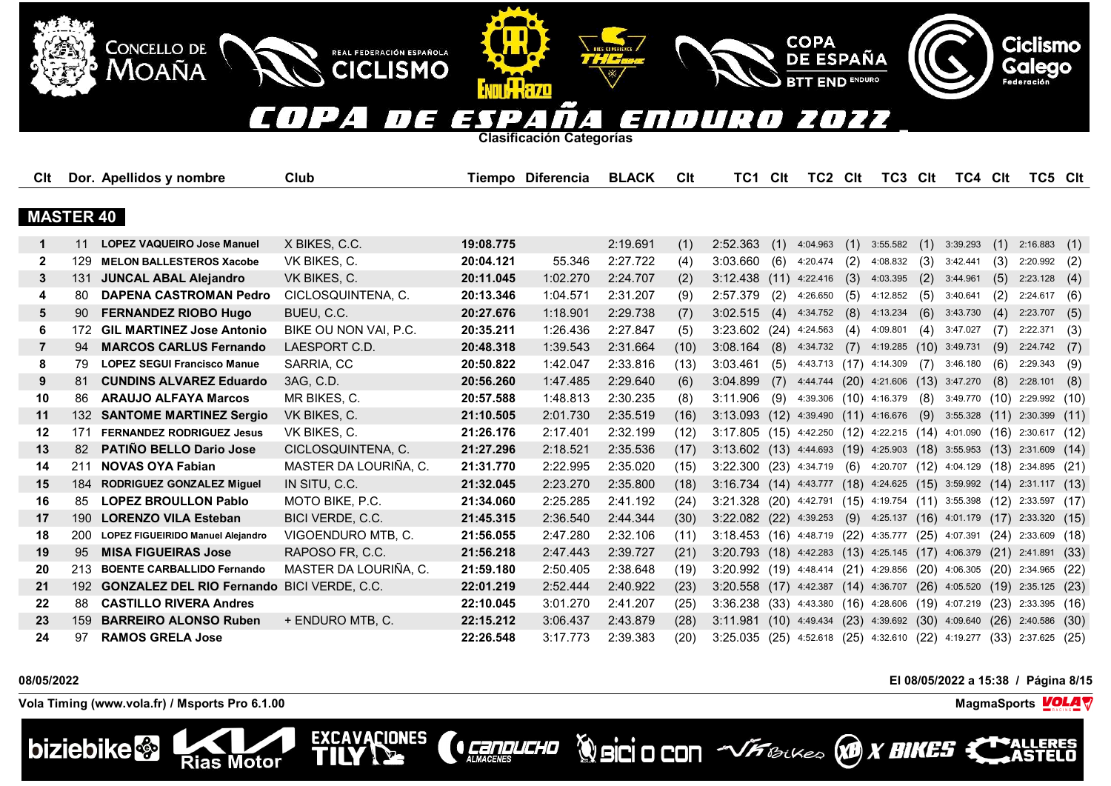### D  $\blacksquare$ OZZ E  $\overline{L}$  $\mathbf{z}$ EN 73 T 77  $\overline{a}$  $\mathbf{I}$  $\prime$ 4.  $\overline{\phantom{a}}$

**COPA** 

**DE ESPAÑA** 

**END ENDURO** 

**Clasificación Categorías**

**ATTILLERZO** 

REAL FEDERACIÓN ESPAÑOLA

**CICLISMO** 

EXCAVACIONES

| Clt              |                  | Dor. Apellidos y nombre                           | Club                  |           | Tiempo Diferencia | <b>BLACK</b> | Clt  | TC1                                                                   | Clt  | TC2 Clt                                                         |     | TC3 Clt                        |      | TC4 Clt                                |      | TC5 Clt                |      |
|------------------|------------------|---------------------------------------------------|-----------------------|-----------|-------------------|--------------|------|-----------------------------------------------------------------------|------|-----------------------------------------------------------------|-----|--------------------------------|------|----------------------------------------|------|------------------------|------|
|                  |                  |                                                   |                       |           |                   |              |      |                                                                       |      |                                                                 |     |                                |      |                                        |      |                        |      |
| <b>MASTER 40</b> |                  |                                                   |                       |           |                   |              |      |                                                                       |      |                                                                 |     |                                |      |                                        |      |                        |      |
| 1                | 11               | <b>LOPEZ VAQUEIRO Jose Manuel</b>                 | X BIKES, C.C.         | 19:08.775 |                   | 2:19.691     | (1)  | 2:52.363                                                              | (1)  | 4:04.963                                                        | (1) | 3:55.582                       | (1)  | 3:39.293                               | (1)  | 2:16.883               | (1)  |
| $\mathbf{2}$     | 129              | <b>MELON BALLESTEROS Xacobe</b>                   | VK BIKES, C.          | 20:04.121 | 55.346            | 2:27.722     | (4)  | 3:03.660                                                              | (6)  | 4:20.474                                                        | (2) | 4:08.832                       | (3)  | 3:42.441                               | (3)  | 2:20.992               | (2)  |
| 3                | 131              | <b>JUNCAL ABAL Alejandro</b>                      | VK BIKES, C.          | 20:11.045 | 1:02.270          | 2:24.707     | (2)  | 3:12.438                                                              | (11) | 4:22.416                                                        | (3) | 4:03.395                       | (2)  | 3:44.961                               | (5)  | 2:23.128               | (4)  |
| 4                | 80               | <b>DAPENA CASTROMAN Pedro</b>                     | CICLOSQUINTENA. C.    | 20:13.346 | 1:04.571          | 2:31.207     | (9)  | 2:57.379                                                              | (2)  | 4:26.650                                                        | (5) | 4:12.852                       | (5)  | 3:40.641                               | (2)  | 2:24.617               | (6)  |
| 5                | 90               | <b>FERNANDEZ RIOBO Hugo</b>                       | BUEU, C.C.            | 20:27.676 | 1:18.901          | 2:29.738     | (7)  | 3:02.515                                                              | (4)  | 4:34.752                                                        | (8) | 4:13.234                       | (6)  | 3:43.730                               | (4)  | 2:23.707               | (5)  |
| 6                |                  | 172 GIL MARTINEZ Jose Antonio                     | BIKE OU NON VAI, P.C. | 20:35.211 | 1:26.436          | 2:27.847     | (5)  | 3:23.602(24)                                                          |      | 4:24.563                                                        | (4) | 4:09.801                       | (4)  | 3:47.027                               | (7)  | 2:22.371               | (3)  |
| $\overline{7}$   | 94               | <b>MARCOS CARLUS Fernando</b>                     | LAESPORT C.D.         | 20:48.318 | 1:39.543          | 2:31.664     | (10) | 3:08.164                                                              | (8)  | 4:34.732                                                        | (7) | 4:19.285                       | (10) | 3:49.731                               | (9)  | 2:24.742               | (7)  |
| 8                | 79               | <b>LOPEZ SEGUI Francisco Manue</b>                | SARRIA, CC            | 20:50.822 | 1:42.047          | 2:33.816     | (13) | 3:03.461                                                              | (5)  | 4:43.713 (17) 4:14.309                                          |     |                                | (7)  | 3:46.180                               | (6)  | 2:29.343               | (9)  |
| 9                | 81               | <b>CUNDINS ALVAREZ Eduardo</b>                    | 3AG, C.D.             | 20:56.260 | 1:47.485          | 2:29.640     | (6)  | 3:04.899                                                              | (7)  | 4:44.744 (20)                                                   |     | 4:21.606                       | (13) | 3:47.270                               | (8)  | 2:28.101               | (8)  |
| 10               | 86               | <b>ARAUJO ALFAYA Marcos</b>                       | MR BIKES, C.          | 20:57.588 | 1:48.813          | 2:30.235     | (8)  | 3:11.906                                                              | (9)  | 4:39.306 (10) 4:16.379                                          |     |                                | (8)  | 3:49.770 (10) 2:29.992 (10)            |      |                        |      |
| 11               | 132 <sub>2</sub> | <b>SANTOME MARTINEZ Sergio</b>                    | VK BIKES, C.          | 21:10.505 | 2:01.730          | 2:35.519     | (16) | $3:13.093$ (12)                                                       |      | 4:39.490 (11) 4:16.676                                          |     |                                | (9)  | 3:55.328                               | (11) | 2:30.399               | (11) |
| 12               | 171              | <b>FERNANDEZ RODRIGUEZ Jesus</b>                  | VK BIKES, C.          | 21:26.176 | 2:17.401          | 2:32.199     | (12) | 3:17.805 (15) 4:42.250 (12) 4:22.215 (14) 4:01.090                    |      |                                                                 |     |                                |      |                                        |      | $(16)$ 2:30.617 $(12)$ |      |
| 13               | 82               | <b>PATIÑO BELLO Dario Jose</b>                    | CICLOSQUINTENA, C.    | 21:27.296 | 2:18.521          | 2:35.536     | (17) | 3:13.602 (13) 4:44.693 (19) 4:25.903 (18) 3:55.953 (13)               |      |                                                                 |     |                                |      |                                        |      | 2:31.609               | (14) |
| 14               | 211              | <b>NOVAS OYA Fabian</b>                           | MASTER DA LOURIÑA, C. | 21:31.770 | 2:22.995          | 2:35.020     | (15) | 3:22.300 (23) 4:34.719                                                |      |                                                                 |     | $(6)$ 4:20.707 $(12)$ 4:04.129 |      |                                        |      | $(18)$ 2:34.895 $(21)$ |      |
| 15               | 184              | <b>RODRIGUEZ GONZALEZ Miguel</b>                  | IN SITU, C.C.         | 21:32.045 | 2:23.270          | 2:35.800     | (18) | 3:16.734 (14) 4:43.777 (18) 4:24.625 (15) 3:59.992 (14)               |      |                                                                 |     |                                |      |                                        |      | 2:31.117(13)           |      |
| 16               | 85               | <b>LOPEZ BROULLON Pablo</b>                       | MOTO BIKE, P.C.       | 21:34.060 | 2:25.285          | 2:41.192     | (24) | 3:21.328 (20) 4:42.791 (15) 4:19.754 (11) 3:55.398 (12) 2:33.597 (17) |      |                                                                 |     |                                |      |                                        |      |                        |      |
| 17               | 190 <sup>°</sup> | <b>LORENZO VILA Esteban</b>                       | BICI VERDE, C.C.      | 21:45.315 | 2:36.540          | 2:44.344     | (30) | $3:22.082$ (22) 4:39.253                                              |      |                                                                 | (9) | 4:25.137                       |      | $(16)$ 4:01.179 $(17)$                 |      | 2:33.320               | (15) |
| 18               | 200              | LOPEZ FIGUEIRIDO Manuel Alejandro                 | VIGOENDURO MTB, C.    | 21:56.055 | 2:47.280          | 2:32.106     | (11) | 3:18.453 (16) 4:48.719 (22) 4:35.777                                  |      |                                                                 |     |                                |      | $(25)$ 4:07.391                        |      | $(24)$ 2:33.609 $(18)$ |      |
| 19               | 95               | <b>MISA FIGUEIRAS Jose</b>                        | RAPOSO FR, C.C.       | 21:56.218 | 2:47.443          | 2:39.727     | (21) | 3:20.793 (18) 4:42.283 (13) 4:25.145 (17) 4:06.379 (21) 2:41.891      |      |                                                                 |     |                                |      |                                        |      |                        | (33) |
| 20               | 213              | <b>BOENTE CARBALLIDO Fernando</b>                 | MASTER DA LOURIÑA. C. | 21:59.180 | 2:50.405          | 2:38.648     | (19) | 3:20.992 (19) 4:48.414 (21) 4:29.856                                  |      |                                                                 |     |                                |      | $(20)$ 4:06.305 $(20)$ 2:34.965 $(22)$ |      |                        |      |
| 21               | 192              | <b>GONZALEZ DEL RIO Fernando BICI VERDE, C.C.</b> |                       | 22:01.219 | 2:52.444          | 2:40.922     | (23) | $3:20.558$ (17)                                                       |      | 4:42.387 (14) 4:36.707                                          |     |                                |      | $(26)$ 4:05.520 $(19)$ 2:35.125        |      |                        | (23) |
| 22               | 88               | <b>CASTILLO RIVERA Andres</b>                     |                       | 22:10.045 | 3:01.270          | 2:41.207     | (25) | 3:36.238                                                              |      | $(33)$ 4:43.380 $(16)$ 4:28.606 $(19)$ 4:07.219 $(23)$ 2:33.395 |     |                                |      |                                        |      |                        | (16) |
| 23               | 159              | <b>BARREIRO ALONSO Ruben</b>                      | + ENDURO MTB, C.      | 22:15.212 | 3:06.437          | 2:43.879     | (28) | 3:11.981                                                              |      | $(10)$ 4:49.434 $(23)$ 4:39.692                                 |     |                                |      | $(30)$ 4:09.640                        |      | $(26)$ 2:40.586        | (30) |
| 24               | 97               | <b>RAMOS GRELA Jose</b>                           |                       | 22:26.548 | 3:17.773          | 2:39.383     | (20) | 3:25.035                                                              |      | (25) 4:52.618 (25) 4:32.610 (22) 4:19.277                       |     |                                |      |                                        |      | $(33)$ 2:37.625        | (25) |

**CONDUCHO** 

**Vola Timing (www.vola.fr) / Msports Pro 6.1.00 MagmaSports VOLA** 

**Rias Motor** 

**CONCELLO DE** 

**MOAÑA** 



**08/05/2022 El 08/05/2022 a 15:38 / Página 8/15**



**ERES** 

**Ciclismo**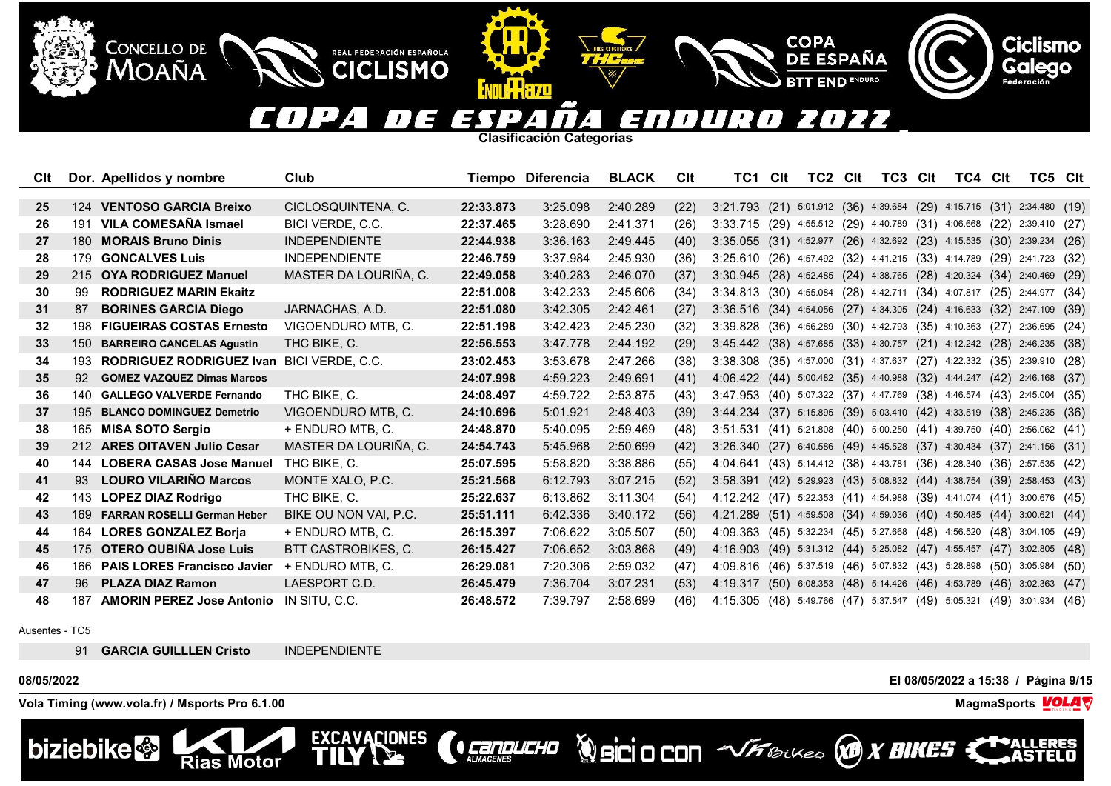### 10 OZZ  $\blacksquare$  $\sqrt{E}$ Ξ  $\mathbf{z}$ 73 T 70  $\overline{ }$ 4.

**COPA** 

**DE ESPAÑA** 

**END ENDURO** 

**Clasificación Categorías**

REAL FEDERACIÓN ESPAÑOLA

**CICLISMO** 

**EXCAVACIONES** 

TII

| CIt |     | Dor. Apellidos y nombre            | Club                       |           | Tiempo Diferencia | <b>BLACK</b> | Clt  | TC1.                                                                    | Clt  | TC2                                                | <b>Clt</b> | TC3 | Clt | TC4 Clt |      | TC5 Clt                                                 |      |
|-----|-----|------------------------------------|----------------------------|-----------|-------------------|--------------|------|-------------------------------------------------------------------------|------|----------------------------------------------------|------------|-----|-----|---------|------|---------------------------------------------------------|------|
|     |     |                                    |                            |           |                   |              |      |                                                                         |      |                                                    |            |     |     |         |      |                                                         |      |
| 25  |     | 124 VENTOSO GARCIA Breixo          | CICLOSQUINTENA. C.         | 22:33.873 | 3:25.098          | 2:40.289     | (22) | 3:21.793 (21) 5:01.912 (36) 4:39.684 (29) 4:15.715 (31) 2:34.480 (19)   |      |                                                    |            |     |     |         |      |                                                         |      |
| 26  |     | 191 VILA COMESAÑA Ismael           | BICI VERDE, C.C.           | 22:37.465 | 3:28.690          | 2:41.371     | (26) | 3:33.715 (29) 4:55.512 (29) 4:40.789 (31) 4:06.668 (22) 2:39.410 (27)   |      |                                                    |            |     |     |         |      |                                                         |      |
| 27  | 180 | <b>MORAIS Bruno Dinis</b>          | <b>INDEPENDIENTE</b>       | 22:44.938 | 3:36.163          | 2:49.445     | (40) | 3:35.055 (31) 4:52.977 (26) 4:32.692 (23) 4:15.535 (30) 2:39.234        |      |                                                    |            |     |     |         |      |                                                         | (26) |
| 28  |     | 179 GONCALVES Luis                 | <b>INDEPENDIENTE</b>       | 22:46.759 | 3:37.984          | 2:45.930     | (36) | 3:25.610 (26) 4:57.492 (32) 4:41.215 (33) 4:14.789 (29) 2:41.723 (32)   |      |                                                    |            |     |     |         |      |                                                         |      |
| 29  |     | 215 OYA RODRIGUEZ Manuel           | MASTER DA LOURIÑA, C.      | 22:49.058 | 3:40.283          | 2:46.070     | (37) | 3:30.945 (28) 4:52.485 (24) 4:38.765 (28) 4:20.324 (34) 2:40.469 (29)   |      |                                                    |            |     |     |         |      |                                                         |      |
| 30  | 99  | <b>RODRIGUEZ MARIN Ekaitz</b>      |                            | 22:51.008 | 3:42.233          | 2:45.606     | (34) | 3:34.813 (30) 4:55.084 (28) 4:42.711 (34) 4:07.817 (25)                 |      |                                                    |            |     |     |         |      | 2:44.977 (34)                                           |      |
| 31  | 87  | <b>BORINES GARCIA Diego</b>        | JARNACHAS, A.D.            | 22:51.080 | 3:42.305          | 2:42.461     | (27) | 3:36.516 (34) 4:54.056 (27) 4:34.305 (24) 4:16.633 (32) 2:47.109        |      |                                                    |            |     |     |         |      |                                                         | (39) |
| 32  | 198 | <b>FIGUEIRAS COSTAS Ernesto</b>    | VIGOENDURO MTB. C.         | 22:51.198 | 3:42.423          | 2:45.230     | (32) | 3:39.828 (36) 4:56.289 (30) 4:42.793 (35) 4:10.363                      |      |                                                    |            |     |     |         | (27) | $2:36.695$ (24)                                         |      |
| 33  | 150 | <b>BARREIRO CANCELAS Agustin</b>   | THC BIKE, C.               | 22:56.553 | 3:47.778          | 2:44.192     | (29) | 3:45.442 (38) 4:57.685 (33) 4:30.757 (21) 4:12.242 (28) 2:46.235 (38)   |      |                                                    |            |     |     |         |      |                                                         |      |
| 34  | 193 | <b>RODRIGUEZ RODRIGUEZ Ivan</b>    | BICI VERDE, C.C.           | 23:02.453 | 3:53.678          | 2:47.266     | (38) | 3:38.308 (35) 4:57.000 (31) 4:37.637 (27) 4:22.332 (35) 2:39.910 (28)   |      |                                                    |            |     |     |         |      |                                                         |      |
| 35  | 92  | <b>GOMEZ VAZQUEZ Dimas Marcos</b>  |                            | 24:07.998 | 4:59.223          | 2:49.691     | (41) | 4:06.422 (44) 5:00.482 (35) 4:40.988 (32) 4:44.247 (42) 2:46.168        |      |                                                    |            |     |     |         |      |                                                         | (37) |
| 36  |     | 140 GALLEGO VALVERDE Fernando      | THC BIKE, C.               | 24:08.497 | 4:59.722          | 2:53.875     | (43) | 3:47.953 (40) 5:07.322 (37) 4:47.769 (38) 4:46.574 (43) 2:45.004 (35)   |      |                                                    |            |     |     |         |      |                                                         |      |
| 37  |     | 195 BLANCO DOMINGUEZ Demetrio      | VIGOENDURO MTB, C.         | 24:10.696 | 5:01.921          | 2:48.403     | (39) | 3:44.234 (37) 5:15.895 (39) 5:03.410 (42) 4:33.519 (38) 2:45.235 (36)   |      |                                                    |            |     |     |         |      |                                                         |      |
| 38  |     | 165 MISA SOTO Sergio               | + ENDURO MTB, C.           | 24:48.870 | 5:40.095          | 2:59.469     | (48) | 3:51.531 (41) 5:21.808 (40) 5:00.250 (41) 4:39.750 (40) 2:56.062 (41)   |      |                                                    |            |     |     |         |      |                                                         |      |
| 39  | 212 | <b>ARES OITAVEN Julio Cesar</b>    | MASTER DA LOURIÑA, C.      | 24:54.743 | 5:45.968          | 2:50.699     | (42) | 3:26.340(27)                                                            |      |                                                    |            |     |     |         |      | 6:40.586 (49) 4:45.528 (37) 4:30.434 (37) 2:41.156 (31) |      |
| 40  | 144 | <b>LOBERA CASAS Jose Manuel</b>    | THC BIKE, C.               | 25:07.595 | 5:58.820          | 3:38.886     | (55) | 4:04.641 (43) 5:14.412 (38) 4:43.781 (36) 4:28.340 (36) 2:57.535 (42)   |      |                                                    |            |     |     |         |      |                                                         |      |
| 41  | 93  | <b>LOURO VILARIÑO Marcos</b>       | MONTE XALO, P.C.           | 25:21.568 | 6:12.793          | 3:07.215     | (52) | $3:58.391$ (42) 5:29.923 (43) 5:08.832 (44) 4:38.754 (39) 2:58.453 (43) |      |                                                    |            |     |     |         |      |                                                         |      |
| 42  |     | 143 LOPEZ DIAZ Rodrigo             | THC BIKE, C.               | 25:22.637 | 6:13.862          | 3:11.304     | (54) | 4:12.242 (47) 5:22.353 (41) 4:54.988 (39) 4:41.074 (41) 3:00.676 (45)   |      |                                                    |            |     |     |         |      |                                                         |      |
| 43  | 169 | <b>FARRAN ROSELLI German Heber</b> | BIKE OU NON VAI, P.C.      | 25:51.111 | 6:42.336          | 3:40.172     | (56) | 4:21.289 (51) 4:59.508 (34) 4:59.036 (40) 4:50.485 (44) 3:00.621        |      |                                                    |            |     |     |         |      |                                                         | (44) |
| 44  | 164 | <b>LORES GONZALEZ Borja</b>        | + ENDURO MTB, C.           | 26:15.397 | 7:06.622          | 3:05.507     | (50) | 4:09.363 (45) 5:32.234 (45) 5:27.668 (48) 4:56.520 (48) 3:04.105        |      |                                                    |            |     |     |         |      |                                                         | (49) |
| 45  | 175 | OTERO OUBIÑA Jose Luis             | <b>BTT CASTROBIKES, C.</b> | 26:15.427 | 7:06.652          | 3:03.868     | (49) | 4:16.903(49)                                                            |      | 5:31.312 (44) 5:25.082 (47) 4:55.457 (47) 3:02.805 |            |     |     |         |      |                                                         | (48) |
| 46  | 166 | <b>PAIS LORES Francisco Javier</b> | + ENDURO MTB, C.           | 26:29.081 | 7:20.306          | 2:59.032     | (47) | 4:09.816(46)                                                            |      | 5:37.519 (46) 5:07.832 (43) 5:28.898               |            |     |     |         |      | $(50)$ 3:05.984                                         | (50) |
| 47  | 96. | <b>PLAZA DIAZ Ramon</b>            | LAESPORT C.D.              | 26:45.479 | 7:36.704          | 3:07.231     | (53) | 4:19.317                                                                | (50) | 6:08.353 (48) 5:14.426 (46) 4:53.789               |            |     |     |         |      | $(46)$ 3:02.363                                         | (47) |
| 48  | 187 | <b>AMORIN PEREZ Jose Antonio</b>   | IN SITU, C.C.              | 26:48.572 | 7:39.797          | 2:58.699     | (46) | 4:15.305 (48) 5:49.766 (47) 5:37.547 (49) 5:05.321                      |      |                                                    |            |     |     |         | (49) | 3:01.934                                                | (46) |

**CENDUCHO** 

Ausentes - TC5

91 **GARCIA GUILLLEN Cristo** INDEPENDIENTE

**Rias Motor** 

**Vola Timing (www.vola.fr) / Msports Pro 6.1.00 MagmaSports VOLA** 

**CONCELLO DE** 

MOAÑA



**08/05/2022 El 08/05/2022 a 15:38 / Página 9/15**



**WorkSittU** 

**Ciclismo**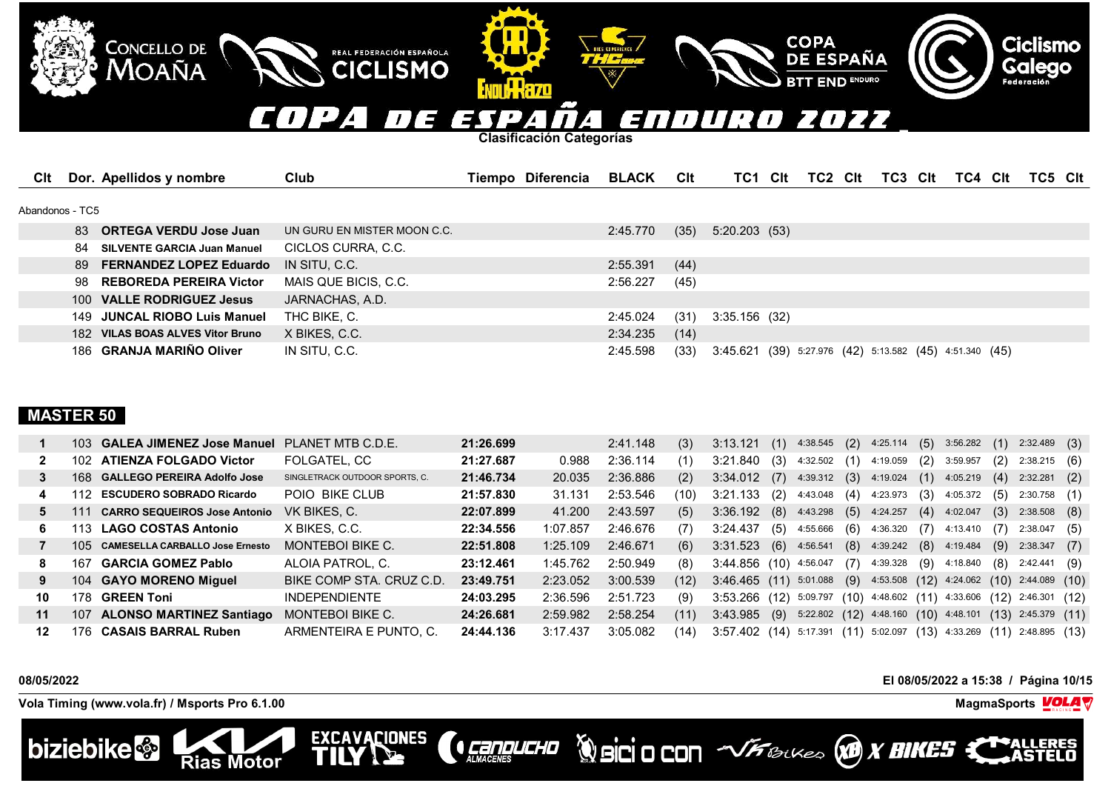## COPA  $\overline{H}$ E ENDUR 2022  $\boldsymbol{\pi}$ /ESP  $\mathcal{L}$  $\boldsymbol{A}$  .

**Clasificación Categorías**

**ENNILL HAZO** 

REAL FEDERACIÓN ESPAÑOLA

**CICLISMO** 

EXCAVACIONES

| CIt             |     | Dor. Apellidos y nombre            | Club                        | Tiempo Diferencia | <b>BLACK</b> | Clt  | TC1                                                     | Clt | TC2 | Clt | TC3 | <b>Clt</b> | TC4 | <b>CIt</b> | TC5 Clt |  |
|-----------------|-----|------------------------------------|-----------------------------|-------------------|--------------|------|---------------------------------------------------------|-----|-----|-----|-----|------------|-----|------------|---------|--|
|                 |     |                                    |                             |                   |              |      |                                                         |     |     |     |     |            |     |            |         |  |
| Abandonos - TC5 |     |                                    |                             |                   |              |      |                                                         |     |     |     |     |            |     |            |         |  |
|                 |     | 83 ORTEGA VERDU Jose Juan          | UN GURU EN MISTER MOON C.C. |                   | 2:45.770     | (35) | 5:20.203(53)                                            |     |     |     |     |            |     |            |         |  |
|                 | 84  | <b>SILVENTE GARCIA Juan Manuel</b> | CICLOS CURRA, C.C.          |                   |              |      |                                                         |     |     |     |     |            |     |            |         |  |
|                 |     | 89 FERNANDEZ LOPEZ Eduardo         | IN SITU. C.C.               |                   | 2:55.391     | (44) |                                                         |     |     |     |     |            |     |            |         |  |
|                 | 98. | <b>REBOREDA PEREIRA Victor</b>     | MAIS QUE BICIS, C.C.        |                   | 2:56.227     | (45) |                                                         |     |     |     |     |            |     |            |         |  |
|                 |     | 100 VALLE RODRIGUEZ Jesus          | JARNACHAS, A.D.             |                   |              |      |                                                         |     |     |     |     |            |     |            |         |  |
|                 |     | 149 JUNCAL RIOBO Luis Manuel       | THC BIKE, C.                |                   | 2:45.024     | (31) | 3:35.156(32)                                            |     |     |     |     |            |     |            |         |  |
|                 |     | 182 VILAS BOAS ALVES Vitor Bruno   | X BIKES, C.C.               |                   | 2:34.235     | (14) |                                                         |     |     |     |     |            |     |            |         |  |
|                 |     | 186 GRANJA MARIÑO Oliver           | IN SITU, C.C.               |                   | 2:45.598     | (33) | 3:45.621 (39) 5:27.976 (42) 5:13.582 (45) 4:51.340 (45) |     |     |     |     |            |     |            |         |  |

# **MASTER 50**

|    |      | 103 GALEA JIMENEZ Jose Manuel PLANET MTB C.D.E. |                                | 21:26.699 |          | 2:41.148 | (3)  | 3:13.121                                                                       |     | $(1)$ 4:38.545 $(2)$ 4:25.114 $(5)$ 3:56.282 |     |                               |     |                | (1) | $2:32.489$ (3)         |     |
|----|------|-------------------------------------------------|--------------------------------|-----------|----------|----------|------|--------------------------------------------------------------------------------|-----|----------------------------------------------|-----|-------------------------------|-----|----------------|-----|------------------------|-----|
|    |      | 102 ATIENZA FOLGADO Victor                      | FOLGATEL, CC                   | 21:27.687 | 0.988    | 2:36.114 | (1)  | 3:21.840                                                                       | (3) | 4:32.502 (1)                                 |     | 4:19.059                      | (2) | 3:59.957       | (2) | $2:38.215$ (6)         |     |
|    |      | 168 GALLEGO PEREIRA Adolfo Jose                 | SINGLETRACK OUTDOOR SPORTS, C. | 21:46.734 | 20.035   | 2:36.886 | (2)  | $3:34.012$ (7)                                                                 |     | 4:39.312                                     |     | $(3)$ 4:19.024 $(1)$ 4:05.219 |     |                | (4) | 2:32.281               | (2) |
| 4  | 112. | <b>ESCUDERO SOBRADO Ricardo</b>                 | POIO BIKE CLUB                 | 21:57.830 | 31.131   | 2:53.546 | (10) | 3:21.133                                                                       | (2) | 4:43.048                                     | (4) | 4:23.973                      | (3) | 4:05.372       | (5) | 2:30.758               | (1) |
| 5. | 111  | <b>CARRO SEQUEIROS Jose Antonio</b>             | VK BIKES, C.                   | 22:07.899 | 41.200   | 2:43.597 | (5)  | $3:36.192$ (8) $4:43.298$                                                      |     |                                              |     | $(5)$ 4:24.257                | (4) | 4:02.047       | (3) | 2:38.508               | (8) |
| 6. | 113. | <b>LAGO COSTAS Antonio</b>                      | X BIKES, C.C.                  | 22:34.556 | 1:07.857 | 2:46.676 | (7)  | 3:24.437                                                                       | (5) | 4:55.666                                     | (6) | 4:36.320                      | (7) | 4:13.410       | (7) | 2:38.047               | (5) |
|    | 105. | <b>CAMESELLA CARBALLO Jose Ernesto</b>          | MONTEBOI BIKE C.               | 22:51.808 | 1:25.109 | 2:46.671 | (6)  | 3:31.523(6)                                                                    |     | 4:56.541                                     |     | $(8)$ 4:39.242                |     | $(8)$ 4:19.484 |     | $(9)$ 2:38.347         | (7) |
| 8  | 167  | <b>GARCIA GOMEZ Pablo</b>                       | ALOIA PATROL. C.               | 23:12.461 | 1:45.762 | 2:50.949 | (8)  | 3:44.856 (10) 4:56.047                                                         |     |                                              |     | $(7)$ 4:39.328 $(9)$          |     | 4:18.840       | (8) | 2:42.441 (9)           |     |
| 9  |      | 104 GAYO MORENO Miquel                          | BIKE COMP STA. CRUZ C.D.       | 23:49.751 | 2:23.052 | 3:00.539 | (12) | $3:46.465$ (11) $5:01.088$ (9) $4:53.508$ (12) $4:24.062$ (10) $2:44.089$ (10) |     |                                              |     |                               |     |                |     |                        |     |
| 10 | 178. | <b>GREEN Toni</b>                               | <b>INDEPENDIENTE</b>           | 24:03.295 | 2:36.596 | 2:51.723 | (9)  | 3:53.266 (12)                                                                  |     | $5:09.797$ $(10)$ $4:48.602$ $(11)$          |     |                               |     | 4:33.606       |     | $(12)$ 2:46.301 $(12)$ |     |
| 11 | 107  | <b>ALONSO MARTINEZ Santiago</b>                 | MONTEBOI BIKE C.               | 24:26.681 | 2:59.982 | 2:58.254 | (11) | $3:43.985$ (9)                                                                 |     | $5:22.802$ $(12)$ $4:48.160$ $(10)$          |     |                               |     | 4:48.101       |     | $(13)$ 2:45.379 $(11)$ |     |
| 12 | 176  | <b>CASAIS BARRAL Ruben</b>                      | ARMENTEIRA E PUNTO. C.         | 24:44.136 | 3:17.437 | 3:05.082 | (14) | 3:57.402 (14) 5:17.391 (11) 5:02.097 (13) 4:33.269 (11)                        |     |                                              |     |                               |     |                |     | 2:48.895 (13)          |     |

**CONDUCHO** 

**08/05/2022 El 08/05/2022 a 15:38 / Página 10/15**

**Vola Timing (www.vola.fr) / Msports Pro 6.1.00 MagmaSports VOLA** 

**Rias Motor** 

CONCELLO DE MOAÑA



**Ciclismo** 

Galego



**COPA** 

**DE ESPAÑA** 

**END ENDURO**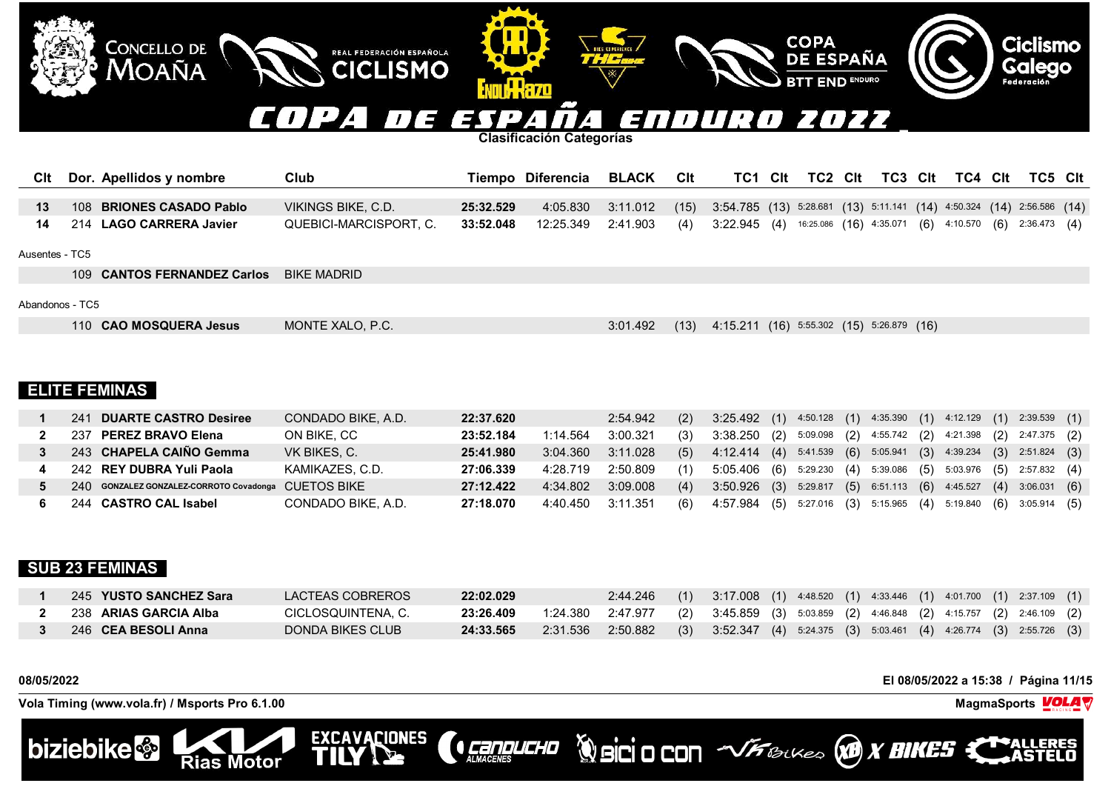## COPA n E ENDUR 2022 7 S. T  $\mathcal{L}$  $\mathbf{I}$  $\overline{a}$  .

**Clasificación Categorías**

REAL FEDERACIÓN ESPAÑOLA

**CICLISMO** 

**EXCAVACIONES** 

TN

| Cit Dor. Apellidos y nombre | Club                                                                                                                       |           | Tiempo Diferencia BLACK CIt                                                                  |  |  |  |  | TC1 CIt TC2 CIt TC3 CIt TC4 CIt TC5 CIt |  |  |
|-----------------------------|----------------------------------------------------------------------------------------------------------------------------|-----------|----------------------------------------------------------------------------------------------|--|--|--|--|-----------------------------------------|--|--|
|                             |                                                                                                                            |           |                                                                                              |  |  |  |  |                                         |  |  |
| 108 BRIONES CASADO Pablo    | VIKINGS BIKE, C.D.                                                                                                         | 25:32.529 | 4:05.830 3:11.012 (15) 3:54.785 (13) 5:28.681 (13) 5:11.141 (14) 4:50.324 (14) 2:56.586 (14) |  |  |  |  |                                         |  |  |
| 14 214 LAGO CARRERA Javier  | QUEBICI-MARCISPORT, C. 33:52.048 12:25.349 2:41.903 (4) 3:22.945 (4) 16:25.086 (16) 4:35.071 (6) 4:10.570 (6) 2:36.473 (4) |           |                                                                                              |  |  |  |  |                                         |  |  |

# Ausentes - TC5

109 **CANTOS FERNANDEZ Carlos** BIKE MADRID

CONCELLO DE

Moaña

# Abandonos - TC5

110 **CAO MOSQUERA Jesus** MONTE XALO, P.C. 3:01.492 (13) 4:15.211 (16) 5:55.302 (15) 5:26.879 (16)

**COPA** 

**DE ESPAÑA** 

**ID ENDURO** 

# **ELITE FEMINAS**

|  | 241 DUARTE CASTRO Desiree                           | CONDADO BIKE, A.D. | 22:37.620 |                   | 2:54.942 | (2) | 3:25.492 (1) 4:50.128 (1) 4:35.390 (1) 4:12.129 (1) 2:39.539 (1) |  |  |  |  |  |
|--|-----------------------------------------------------|--------------------|-----------|-------------------|----------|-----|------------------------------------------------------------------|--|--|--|--|--|
|  | 237 PEREZ BRAVO Elena                               | ON BIKE, CC        | 23:52.184 | 1:14.564          | 3:00.321 | (3) | 3:38.250 (2) 5:09.098 (2) 4:55.742 (2) 4:21.398 (2) 2:47.375 (2) |  |  |  |  |  |
|  | 243 CHAPELA CAIÑO Gemma                             | VK BIKES, C.       | 25:41.980 | 3:04.360          | 3:11.028 | (5) | 4:12.414 (4) 5:41.539 (6) 5:05.941 (3) 4:39.234 (3) 2:51.824 (3) |  |  |  |  |  |
|  | 242 REY DUBRA Yuli Paola                            | KAMIKAZES, C.D.    | 27:06.339 | 4:28.719 2:50.809 |          | (1) | 5:05.406 (6) 5:29.230 (4) 5:39.086 (5) 5:03.976 (5) 2:57.832 (4) |  |  |  |  |  |
|  | 240 GONZALEZ GONZALEZ-CORROTO Covadonga CUETOS BIKE |                    | 27:12.422 | 4:34.802          | 3:09.008 | (4) | 3:50.926 (3) 5:29.817 (5) 6:51.113 (6) 4:45.527 (4) 3:06.031 (6) |  |  |  |  |  |
|  | 244 CASTRO CAL Isabel                               | CONDADO BIKE, A.D. | 27:18.070 | 4:40.450 3:11.351 |          | (6) | 4:57.984 (5) 5:27.016 (3) 5:15.965 (4) 5:19.840 (6) 3:05.914 (5) |  |  |  |  |  |

# **SUB 23 FEMINAS**

| 245 YUSTO SANCHEZ Sara | LACTEAS COBREROS   | 22:02.029 | $2:44.246$ (1) $3:17.008$ (1) $4:48.520$ (1) $4:33.446$ (1) $4:01.700$ (1) $2:37.109$ (1) |  |  |  |  |  |  |
|------------------------|--------------------|-----------|-------------------------------------------------------------------------------------------|--|--|--|--|--|--|
| 238 ARIAS GARCIA Alba  | CICLOSQUINTENA. C. | 23:26.409 | 1:24.380 2:47.977 (2) 3:45.859 (3) 5:03.859 (2) 4:46.848 (2) 4:15.757 (2) 2:46.109 (2)    |  |  |  |  |  |  |
| 246 CEA BESOLI Anna    | DONDA BIKES CLUB   | 24:33.565 | 2:31.536 2:50.882 (3) 3:52.347 (4) 5:24.375 (3) 5:03.461 (4) 4:26.774 (3) 2:55.726 (3)    |  |  |  |  |  |  |

**CONDUCHO** 

**08/05/2022 El 08/05/2022 a 15:38 / Página 11/15**

**WorkSittU** 

**Ciclismo** 

**Galego** 

Federación

**Vola Timing (www.vola.fr) / Msports Pro 6.1.00 MagmaSports**

**Rias Motor** 

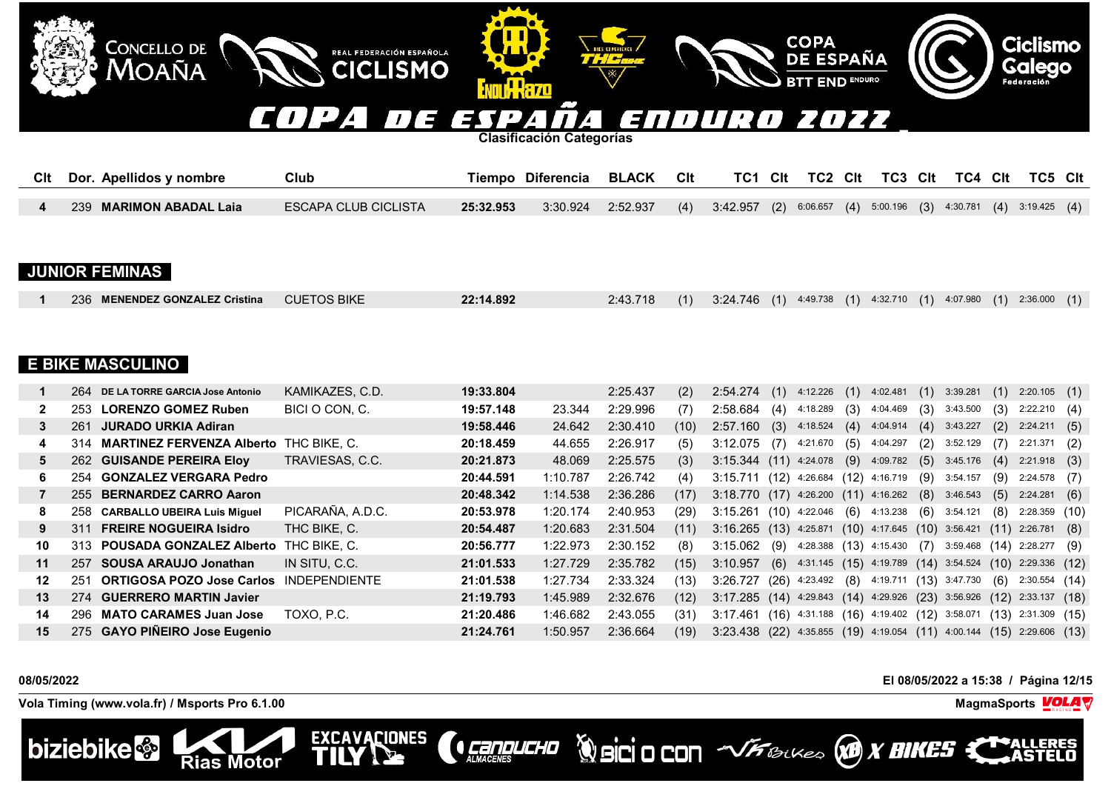### COPA 73 2022 SOODIR  $\mathbf{L}$ 7 EN S  $\mathcal{L}$  $\mathbf{I}$  $\overline{a}$  .

**Clasificación Categorías**

REAL FEDERACIÓN ESPAÑOLA

**CICLISMO** 

EXCAVACIONES

| Cit Dor. Apellidos y nombre | Club                 |           | Tiempo Diferencia BLACK CIt                                                                               |  |  |  |  |  | TC1 CIt TC2 CIt TC3 CIt TC4 CIt TC5 CIt |  |
|-----------------------------|----------------------|-----------|-----------------------------------------------------------------------------------------------------------|--|--|--|--|--|-----------------------------------------|--|
|                             |                      |           |                                                                                                           |  |  |  |  |  |                                         |  |
| 239 MARIMON ABADAL Laia     | ESCAPA CLUB CICLISTA | 25:32.953 | $(3:30.924$ $2:52.937$ $(4)$ $3:42.957$ $(2)$ 6:06.657 $(4)$ 5:00.196 $(3)$ 4:30.781 $(4)$ 3:19.425 $(4)$ |  |  |  |  |  |                                         |  |

# **JUNIOR FEMINAS**

**CONCELLO DE** 

MOAÑA

| <b>CUETOS BIKE</b><br>236 MENENDEZ GONZALEZ Cristina | 22:14.892 |  |  | 2:43.718 (1) 3:24.746 (1) 4:49.738 (1) 4:32.710 (1) 4:07.980 (1) 2:36.000 (1) |  |
|------------------------------------------------------|-----------|--|--|-------------------------------------------------------------------------------|--|
|------------------------------------------------------|-----------|--|--|-------------------------------------------------------------------------------|--|

# **E BIKE MASCULINO**

|                 | 264 | DE LA TORRE GARCIA Jose Antonio                | KAMIKAZES, C.D.  | 19:33.804 |          | 2:25.437 | (2)  | 2:54.274                                           | (1)  | 4:12.226                             | (1) | 4:02.481               | (1) | 3:39.281 | (1)  | 2:20.105               | (1) |
|-----------------|-----|------------------------------------------------|------------------|-----------|----------|----------|------|----------------------------------------------------|------|--------------------------------------|-----|------------------------|-----|----------|------|------------------------|-----|
|                 | 253 | <b>LORENZO GOMEZ Ruben</b>                     | BICI O CON. C.   | 19:57.148 | 23.344   | 2:29.996 | (7)  | 2:58.684                                           | (4)  | 4:18.289                             | (3) | 4:04.469               | (3) | 3:43.500 | (3)  | 2:22.210(4)            |     |
| 3               | 261 | JURADO URKIA Adiran                            |                  | 19:58.446 | 24.642   | 2:30.410 | (10) | 2:57.160                                           | (3)  | 4:18.524                             |     | $(4)$ 4:04.914         | (4) | 3:43.227 | (2)  | 2:24.211               | (5) |
| 4               | 314 | <b>MARTINEZ FERVENZA Alberto THC BIKE, C.</b>  |                  | 20:18.459 | 44.655   | 2:26.917 | (5)  | 3:12.075                                           | (7)  | 4:21.670                             | (5) | 4:04.297               | (2) | 3:52.129 | (7)  | $2:21.371$ (2)         |     |
| 5.              |     | 262 GUISANDE PEREIRA Eloy                      | TRAVIESAS, C.C.  | 20:21.873 | 48.069   | 2:25.575 | (3)  | $3:15.344$ (11) 4:24.078 (9) 4:09.782              |      |                                      |     |                        | (5) | 3:45.176 | (4)  | 2:21.918               | (3) |
| 6.              | 254 | <b>GONZALEZ VERGARA Pedro</b>                  |                  | 20:44.591 | 1:10.787 | 2:26.742 | (4)  | 3:15.711                                           | (12) | 4:26.684 (12) 4:16.719               |     |                        | (9) | 3:54.157 | (9)  | 2:24.578               | (7) |
|                 |     | 255 BERNARDEZ CARRO Aaron                      |                  | 20:48.342 | 1:14.538 | 2:36.286 | (17) | 3:18.770 (17) 4:26.200 (11) 4:16.262               |      |                                      |     |                        | (8) | 3:46.543 | (5)  | 2:24.281               | (6) |
| 8               | 258 | <b>CARBALLO UBEIRA Luis Miquel</b>             | PICARAÑA, A.D.C. | 20:53.978 | 1:20.174 | 2:40.953 | (29) | 3:15.261                                           |      | $(10)$ 4:22.046                      | (6) | 4:13.238               | (6) | 3:54.121 | (8)  | $2:28.359$ (10)        |     |
| 9               | 311 | <b>FREIRE NOGUEIRA Isidro</b>                  | THC BIKE, C.     | 20:54.487 | 1:20.683 | 2:31.504 | (11) | $3:16.265$ (13) 4:25.871 (10) 4:17.645 (10)        |      |                                      |     |                        |     | 3:56.421 |      | $(11)$ 2:26.781        | (8) |
| 10              |     | 313 POUSADA GONZALEZ Alberto                   | THC BIKE. C.     | 20:56.777 | 1:22.973 | 2:30.152 | (8)  | 3:15.062                                           | (9)  | 4:28.388 (13) 4:15.430 (7)           |     |                        |     | 3:59.468 | (14) | 2:28.277               | (9) |
| 11              | 257 | SOUSA ARAUJO Jonathan                          | IN SITU, C.C.    | 21:01.533 | 1:27.729 | 2:35.782 | (15) | 3:10.957                                           | (6)  | 4:31.145 (15) 4:19.789 (14) 3:54.524 |     |                        |     |          |      | $(10)$ 2:29.336 $(12)$ |     |
| 12              | 251 | <b>ORTIGOSA POZO Jose Carlos INDEPENDIENTE</b> |                  | 21:01.538 | 1:27.734 | 2:33.324 | (13) | 3:26.727                                           | (26) | 4:23.492 (8)                         |     | 4:19.711 (13) 3:47.730 |     |          | (6)  | 2:30.554(14)           |     |
| 13 <sup>1</sup> | 274 | <b>GUERRERO MARTIN Javier</b>                  |                  | 21:19.793 | 1:45.989 | 2:32.676 | (12) | 3:17.285 (14) 4:29.843 (14) 4:29.926 (23) 3:56.926 |      |                                      |     |                        |     |          |      | $(12)$ 2:33.137 $(18)$ |     |
| 14              |     | 296 MATO CARAMES Juan Jose                     | TOXO, P.C.       | 21:20.486 | 1:46.682 | 2:43.055 | (31) | 3:17.461                                           | (16) | 4:31.188 (16) 4:19.402 (12) 3:58.071 |     |                        |     |          |      | $(13)$ 2:31.309 $(15)$ |     |
| 15              |     | 275 GAYO PIÑEIRO Jose Eugenio                  |                  | 21:24.761 | 1:50.957 | 2:36.664 | (19) | 3:23.438 (22) 4:35.855 (19) 4:19.054 (11) 4:00.144 |      |                                      |     |                        |     |          |      | $(15)$ 2:29.606 $(13)$ |     |

**CENTRACERES** 

**08/05/2022 El 08/05/2022 a 15:38 / Página 12/15**

**Vola Timing (www.vola.fr) / Msports Pro 6.1.00 MagmaSports MagmaSports MagmaSports MagmaSports MagmaSports** 

**Rias Motor** 



**Ciclismo** 

Galego



**COPA** 

**DE ESPAÑA** 

**END ENDURO**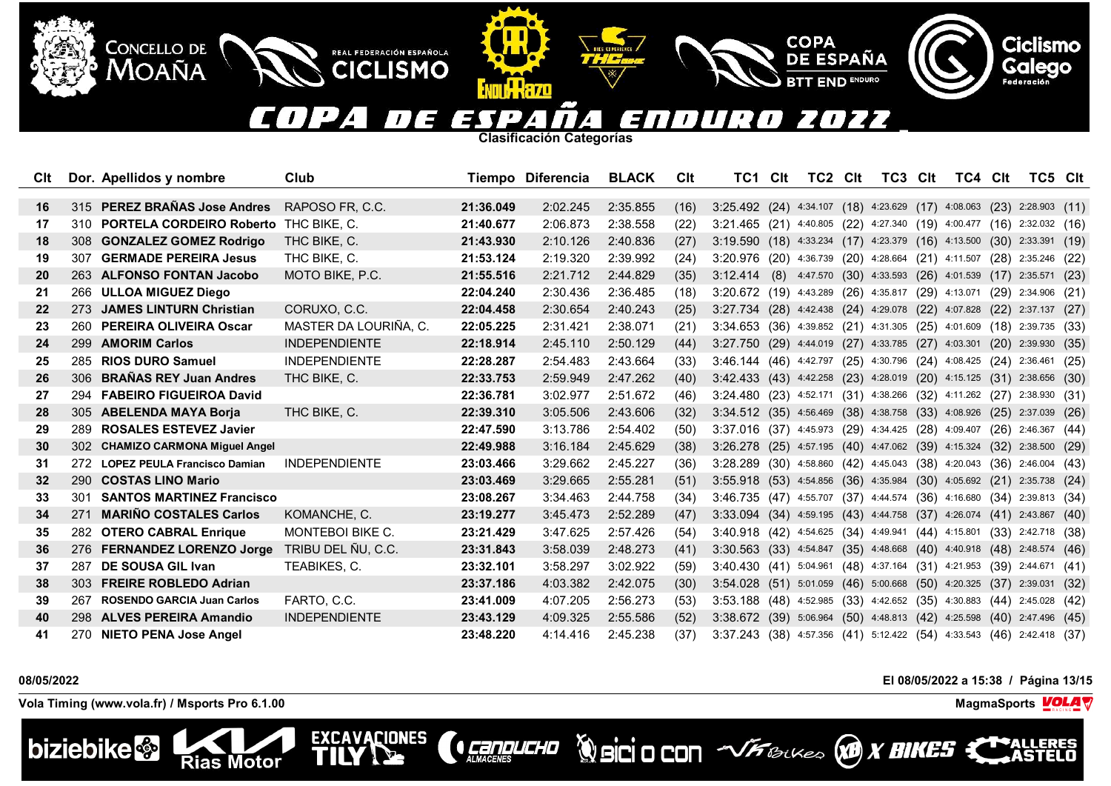### $\blacksquare$ <u>| J</u> 2022 E  $\sqrt{1}$  $\mathbf{A}$ EN 73 T 77  $\overline{a}$  $\mathbf{I}$  $\prime$ 4.

**Clasificación Categorías**

**ATTILLERZO** 

REAL FEDERACIÓN ESPAÑOLA

**CICLISMO** 

**EXCAVACIONES** 

TTI

| CIt       |     | Dor. Apellidos y nombre                   | Club                    |           | Tiempo Diferencia | <b>BLACK</b> | CIt  | TC1                                                                             | <b>Clt</b> | TC2 | <b>Clt</b> | TC3 | Clt | TC4 Clt                                                         | TC5 Clt                |      |
|-----------|-----|-------------------------------------------|-------------------------|-----------|-------------------|--------------|------|---------------------------------------------------------------------------------|------------|-----|------------|-----|-----|-----------------------------------------------------------------|------------------------|------|
|           |     |                                           |                         |           |                   |              |      |                                                                                 |            |     |            |     |     |                                                                 |                        |      |
| 16        |     | 315 PEREZ BRANAS Jose Andres              | RAPOSO FR, C.C.         | 21:36.049 | 2:02.245          | 2:35.855     | (16) | $3:25.492$ (24) $4:34.107$ (18) $4:23.629$ (17) $4:08.063$ (23) $2:28.903$ (11) |            |     |            |     |     |                                                                 |                        |      |
| 17        |     | 310 PORTELA CORDEIRO Roberto THC BIKE, C. |                         | 21:40.677 | 2:06.873          | 2:38.558     | (22) | 3:21.465 (21) 4:40.805 (22) 4:27.340 (19) 4:00.477 (16) 2:32.032 (16)           |            |     |            |     |     |                                                                 |                        |      |
| 18        | 308 | <b>GONZALEZ GOMEZ Rodrigo</b>             | THC BIKE, C.            | 21:43.930 | 2:10.126          | 2:40.836     | (27) | $3:19.590$ (18) 4:33.234 (17) 4:23.379 (16) 4:13.500 (30) 2:33.391 (19)         |            |     |            |     |     |                                                                 |                        |      |
| 19        | 307 | <b>GERMADE PEREIRA Jesus</b>              | THC BIKE, C.            | 21:53.124 | 2:19.320          | 2:39.992     | (24) | 3:20.976 (20) 4:36.739 (20) 4:28.664 (21) 4:11.507 (28) 2:35.246 (22)           |            |     |            |     |     |                                                                 |                        |      |
| <b>20</b> |     | 263 ALFONSO FONTAN Jacobo                 | MOTO BIKE, P.C.         | 21:55.516 | 2:21.712          | 2:44.829     | (35) | 3:12.414 (8) 4:47.570 (30) 4:33.593 (26) 4:01.539 (17) 2:35.571 (23)            |            |     |            |     |     |                                                                 |                        |      |
| 21        | 266 | <b>ULLOA MIGUEZ Diego</b>                 |                         | 22:04.240 | 2:30.436          | 2:36.485     | (18) | 3:20.672 (19) 4:43.289 (26) 4:35.817 (29) 4:13.071 (29) 2:34.906 (21)           |            |     |            |     |     |                                                                 |                        |      |
| 22        | 273 | <b>JAMES LINTURN Christian</b>            | CORUXO, C.C.            | 22:04.458 | 2:30.654          | 2:40.243     | (25) | 3:27.734 (28) 4:42.438 (24) 4:29.078 (22) 4:07.828                              |            |     |            |     |     |                                                                 | $(22)$ 2:37.137        | (27) |
| 23        | 260 | <b>PEREIRA OLIVEIRA Oscar</b>             | MASTER DA LOURIÑA, C.   | 22:05.225 | 2:31.421          | 2:38.071     | (21) | 3:34.653 (36) 4:39.852 (21) 4:31.305 (25) 4:01.609 (18) 2:39.735 (33)           |            |     |            |     |     |                                                                 |                        |      |
| 24        |     | 299 AMORIM Carlos                         | <b>INDEPENDIENTE</b>    | 22:18.914 | 2:45.110          | 2:50.129     | (44) | 3:27.750 (29) 4:44.019 (27) 4:33.785 (27) 4:03.301                              |            |     |            |     |     |                                                                 | $(20)$ 2:39.930        | (35) |
| 25        |     | 285 RIOS DURO Samuel                      | <b>INDEPENDIENTE</b>    | 22:28.287 | 2:54.483          | 2:43.664     | (33) | 3:46.144 (46) 4:42.797 (25) 4:30.796 (24) 4:08.425 (24) 2:36.461 (25)           |            |     |            |     |     |                                                                 |                        |      |
| 26        | 306 | <b>BRAÑAS REY Juan Andres</b>             | THC BIKE, C.            | 22:33.753 | 2:59.949          | 2:47.262     | (40) | 3:42.433 (43) 4:42.258 (23) 4:28.019 (20) 4:15.125 (31) 2:38.656 (30)           |            |     |            |     |     |                                                                 |                        |      |
| 27        | 294 | <b>FABEIRO FIGUEIROA David</b>            |                         | 22:36.781 | 3:02.977          | 2:51.672     | (46) | 3:24.480 (23) 4:52.171 (31) 4:38.266 (32) 4:11.262 (27) 2:38.930 (31)           |            |     |            |     |     |                                                                 |                        |      |
| 28        |     | 305 ABELENDA MAYA Borja                   | THC BIKE, C.            | 22:39.310 | 3:05.506          | 2:43.606     | (32) | 3:34.512 (35) 4:56.469 (38) 4:38.758 (33) 4:08.926 (25) 2:37.039 (26)           |            |     |            |     |     |                                                                 |                        |      |
| 29        | 289 | <b>ROSALES ESTEVEZ Javier</b>             |                         | 22:47.590 | 3:13.786          | 2:54.402     | (50) | 3:37.016 (37) 4:45.973 (29) 4:34.425 (28) 4:09.407 (26) 2:46.367 (44)           |            |     |            |     |     |                                                                 |                        |      |
| 30        | 302 | <b>CHAMIZO CARMONA Miguel Angel</b>       |                         | 22:49.988 | 3:16.184          | 2:45.629     | (38) | 3:26.278 (25) 4:57.195 (40) 4:47.062 (39) 4:15.324 (32) 2:38.500 (29)           |            |     |            |     |     |                                                                 |                        |      |
| 31        |     | 272 LOPEZ PEULA Francisco Damian          | <b>INDEPENDIENTE</b>    | 23:03.466 | 3:29.662          | 2:45.227     | (36) | 3:28.289 (30) 4:58.860 (42) 4:45.043 (38) 4:20.043 (36) 2:46.004 (43)           |            |     |            |     |     |                                                                 |                        |      |
| 32        |     | 290 COSTAS LINO Mario                     |                         | 23:03.469 | 3:29.665          | 2:55.281     | (51) | 3:55.918 (53) 4:54.856 (36) 4:35.984 (30) 4:05.692 (21) 2:35.738 (24)           |            |     |            |     |     |                                                                 |                        |      |
| 33        | 301 | <b>SANTOS MARTINEZ Francisco</b>          |                         | 23:08.267 | 3:34.463          | 2:44.758     | (34) | 3:46.735 (47) 4:55.707 (37) 4:44.574 (36) 4:16.680 (34) 2:39.813 (34)           |            |     |            |     |     |                                                                 |                        |      |
| 34        | 271 | <b>MARIÑO COSTALES Carlos</b>             | KOMANCHE, C.            | 23:19.277 | 3:45.473          | 2:52.289     | (47) | 3:33.094 (34) 4:59.195 (43) 4:44.758 (37) 4:26.074 (41) 2:43.867 (40)           |            |     |            |     |     |                                                                 |                        |      |
| 35        | 282 | <b>OTERO CABRAL Enrique</b>               | <b>MONTEBOI BIKE C.</b> | 23:21.429 | 3:47.625          | 2:57.426     | (54) | 3:40.918 (42) 4:54.625 (34) 4:49.941 (44) 4:15.801                              |            |     |            |     |     |                                                                 | $(33)$ 2:42.718 $(38)$ |      |
| 36        |     | 276 FERNANDEZ LORENZO Jorge               | TRIBU DEL ÑU. C.C.      | 23:31.843 | 3:58.039          | 2:48.273     | (41) | 3:30.563 (33) 4:54.847 (35) 4:48.668 (40) 4:40.918 (48) 2:48.574 (46)           |            |     |            |     |     |                                                                 |                        |      |
| 37        | 287 | DE SOUSA GIL Ivan                         | TEABIKES, C.            | 23:32.101 | 3:58.297          | 3:02.922     | (59) | 3:40.430 (41) 5:04.961 (48) 4:37.164 (31) 4:21.953 (39) 2:44.671 (41)           |            |     |            |     |     |                                                                 |                        |      |
| 38        | 303 | <b>FREIRE ROBLEDO Adrian</b>              |                         | 23:37.186 | 4:03.382          | 2:42.075     | (30) | 3:54.028                                                                        |            |     |            |     |     | $(51)$ 5:01.059 $(46)$ 5:00.668 $(50)$ 4:20.325 $(37)$ 2:39.031 |                        | (32) |
| 39        | 267 | <b>ROSENDO GARCIA Juan Carlos</b>         | FARTO, C.C.             | 23:41.009 | 4:07.205          | 2:56.273     | (53) | 3:53.188 (48) 4:52.985 (33) 4:42.652 (35) 4:30.883 (44) 2:45.028 (42)           |            |     |            |     |     |                                                                 |                        |      |
| 40        |     | 298 ALVES PEREIRA Amandio                 | <b>INDEPENDIENTE</b>    | 23:43.129 | 4:09.325          | 2:55.586     | (52) | $3:38.672$ (39) 5:06.964 (50) 4:48.813 (42) 4:25.598 (40) 2:47.496 (45)         |            |     |            |     |     |                                                                 |                        |      |
| 41        | 270 | <b>NIETO PENA Jose Angel</b>              |                         | 23:48.220 | 4:14.416          | 2:45.238     | (37) | 3:37.243 (38) 4:57.356 (41) 5:12.422 (54) 4:33.543 (46) 2:42.418 (37)           |            |     |            |     |     |                                                                 |                        |      |

**CONDUCHO** 

**Vola Timing (www.vola.fr) / Msports Pro 6.1.00 MagmaSports VOLA** 

**Rias Motor** 

CONCELLO DE

**MOAÑA** 



**08/05/2022 El 08/05/2022 a 15:38 / Página 13/15**

**Volcio CON VFBLUES CON BIKES CO** 

**COPA** 

**DE ESPAÑA** 

**END ENDURO** 



LERES

**Ciclismo** 

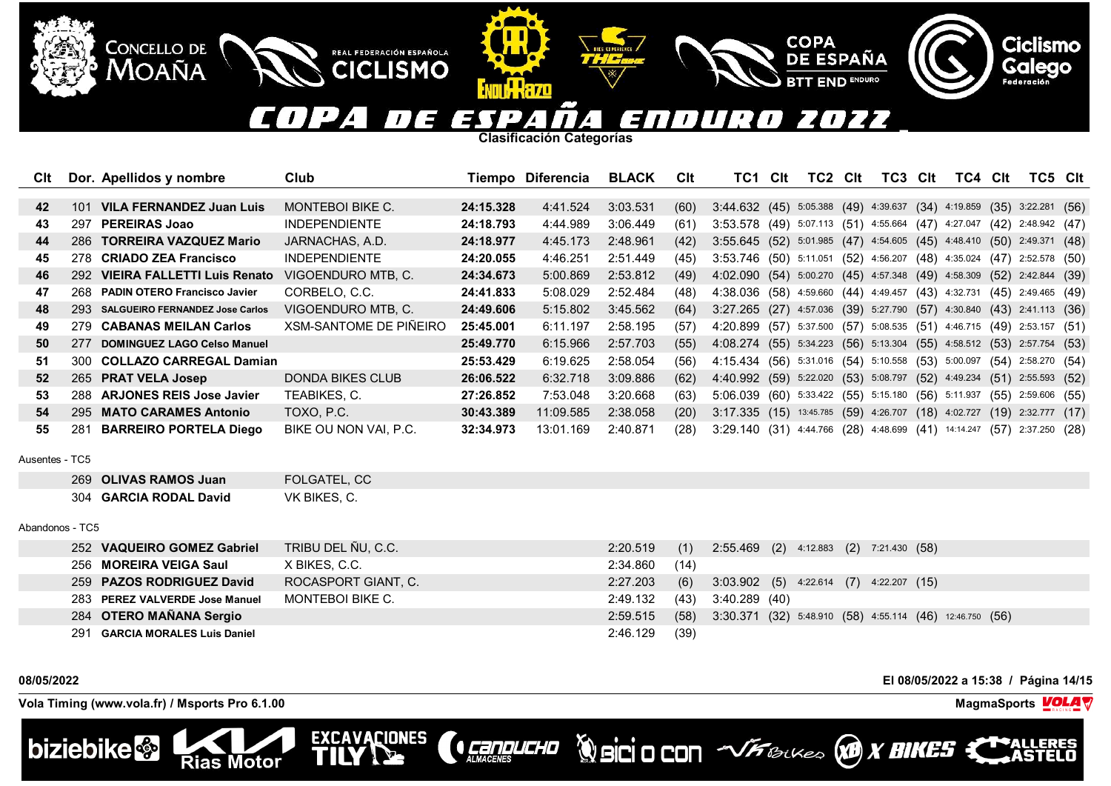### COPA E ENDUR 2022  $\mathbf{L}$ 7 EX T  $\mathcal{L}$  $\mathbf{I}$  $\overline{a}$  .

**COPA** 

**DE ESPAÑA** 

**END ENDURO** 

**Clasificación Categorías**

IKKAZO

REAL FEDERACIÓN ESPAÑOLA

**CICLISMO** 

EXCAVACIONES

| Clt |     | Dor. Apellidos y nombre             | Club                   |           | Tiempo Diferencia | <b>BLACK</b> | <b>C</b> lt | TC1.                                                                   | Clt | TC2 | Clt | TC3 | Clt | TC4 | Clt | TC5 Clt                |  |
|-----|-----|-------------------------------------|------------------------|-----------|-------------------|--------------|-------------|------------------------------------------------------------------------|-----|-----|-----|-----|-----|-----|-----|------------------------|--|
|     |     |                                     |                        |           |                   |              |             |                                                                        |     |     |     |     |     |     |     |                        |  |
| 42  | 101 | <b>VILA FERNANDEZ Juan Luis</b>     | MONTEBOI BIKE C.       | 24:15.328 | 4:41.524          | 3:03.531     | (60)        | 3:44.632 (45) 5:05.388 (49) 4:39.637 (34) 4:19.859 (35) 3:22.281 (56)  |     |     |     |     |     |     |     |                        |  |
| 43  | 297 | <b>PEREIRAS Joao</b>                | <b>INDEPENDIENTE</b>   | 24:18.793 | 4:44.989          | 3:06.449     | (61)        | 3:53.578 (49) 5:07.113 (51) 4:55.664 (47) 4:27.047                     |     |     |     |     |     |     |     | $(42)$ 2:48.942 $(47)$ |  |
| 44  |     | 286 TORREIRA VAZQUEZ Mario          | JARNACHAS, A.D.        | 24:18.977 | 4:45.173          | 2:48.961     | (42)        | 3:55.645 (52) 5:01.985 (47) 4:54.605 (45) 4:48.410 (50) 2:49.371 (48)  |     |     |     |     |     |     |     |                        |  |
| 45  | 278 | <b>CRIADO ZEA Francisco</b>         | <b>INDEPENDIENTE</b>   | 24:20.055 | 4:46.251          | 2:51.449     | (45)        | 3:53.746 (50) 5:11.051 (52) 4:56.207 (48) 4:35.024 (47) 2:52.578 (50)  |     |     |     |     |     |     |     |                        |  |
| 46  | 292 | <b>VIEIRA FALLETTI Luis Renato</b>  | VIGOENDURO MTB, C.     | 24:34.673 | 5:00.869          | 2:53.812     | (49)        | 4:02.090 (54) 5:00.270 (45) 4:57.348 (49) 4:58.309 (52) 2:42.844 (39)  |     |     |     |     |     |     |     |                        |  |
| 47  | 268 | <b>PADIN OTERO Francisco Javier</b> | CORBELO, C.C.          | 24:41.833 | 5:08.029          | 2:52.484     | (48)        | 4:38.036 (58) 4:59.660 (44) 4:49.457 (43) 4:32.731                     |     |     |     |     |     |     |     | $(45)$ 2:49.465 $(49)$ |  |
| 48  |     | 293 SALGUEIRO FERNANDEZ Jose Carlos | VIGOENDURO MTB, C.     | 24:49.606 | 5:15.802          | 3:45.562     | (64)        | 3:27.265 (27) 4:57.036 (39) 5:27.790 (57) 4:30.840 (43) 2:41.113 (36)  |     |     |     |     |     |     |     |                        |  |
| 49  | 279 | <b>CABANAS MEILAN Carlos</b>        | XSM-SANTOME DE PIÑEIRO | 25:45.001 | 6:11.197          | 2:58.195     | (57)        | 4:20.899 (57) 5:37.500 (57) 5:08.535 (51) 4:46.715 (49) 2:53.157 (51)  |     |     |     |     |     |     |     |                        |  |
| 50  | 277 | DOMINGUEZ LAGO Celso Manuel         |                        | 25:49.770 | 6:15.966          | 2:57.703     | (55)        | 4:08.274 (55) 5:34.223 (56) 5:13.304 (55) 4:58.512 (53) 2:57.754 (53)  |     |     |     |     |     |     |     |                        |  |
| 51  | 300 | <b>COLLAZO CARREGAL Damian</b>      |                        | 25:53.429 | 6:19.625          | 2:58.054     | (56)        | 4:15.434 (56) 5:31.016 (54) 5:10.558 (53) 5:00.097 (54) 2:58.270 (54)  |     |     |     |     |     |     |     |                        |  |
| 52  |     | 265 PRAT VELA Josep                 | DONDA BIKES CLUB       | 26:06.522 | 6:32.718          | 3:09.886     | (62)        | 4:40.992 (59) 5:22.020 (53) 5:08.797 (52) 4:49.234                     |     |     |     |     |     |     |     | $(51)$ 2:55.593 $(52)$ |  |
| 53  | 288 | <b>ARJONES REIS Jose Javier</b>     | TEABIKES, C.           | 27:26.852 | 7:53.048          | 3:20.668     | (63)        | 5:06.039 (60) 5:33.422 (55) 5:15.180 (56) 5:11.937 (55) 2:59.606 (55)  |     |     |     |     |     |     |     |                        |  |
| 54  |     | 295 MATO CARAMES Antonio            | TOXO, P.C.             | 30:43.389 | 11:09.585         | 2:38.058     | (20)        | 3:17.335 (15) 13:45.785 (59) 4:26.707 (18) 4:02.727                    |     |     |     |     |     |     |     | $(19)$ 2:32.777 $(17)$ |  |
| 55  | 281 | <b>BARREIRO PORTELA Diego</b>       | BIKE OU NON VAI. P.C.  | 32:34.973 | 13:01.169         | 2:40.871     | (28)        | 3:29.140 (31) 4:44.766 (28) 4:48.699 (41) 14:14.247 (57) 2:37.250 (28) |     |     |     |     |     |     |     |                        |  |

Ausentes - TC5

| 269 OLIVAS RAMOS Juan  | FOLGATEL, CC |
|------------------------|--------------|
| 304 GARCIA RODAL David | VK BIKES, C. |

**Rias Motor** 

## Abandonos - TC5

| 252 VAQUEIRO GOMEZ Gabriel     | TRIBU DEL ÑU, C.C.  | 2:20.519 | (1)  | 2:55.469 (2) 4:12.883 (2) 7:21.430 (58)                    |
|--------------------------------|---------------------|----------|------|------------------------------------------------------------|
| 256 MOREIRA VEIGA Saul         | X BIKES, C.C.       | 2:34.860 | (14) |                                                            |
| 259 PAZOS RODRIGUEZ David      | ROCASPORT GIANT, C. | 2:27.203 | (6)  | $3:03.902$ (5) $4:22.614$ (7) $4:22.207$ (15)              |
| 283 PEREZ VALVERDE Jose Manuel | MONTEBOI BIKE C.    | 2:49.132 |      | $(43)$ 3:40.289 $(40)$                                     |
| 284 OTERO MAÑANA Sergio        |                     | 2:59.515 | (58) | $3:30.371$ (32) 5:48.910 (58) 4:55.114 (46) 12:46.750 (56) |
| 291 GARCIA MORALES Luis Daniel |                     | 2:46.129 | (39) |                                                            |

**CONDUCHO** 

**Vola Timing (www.vola.fr) / Msports Pro 6.1.00 MagmaSports MagmaSports MagmaSports MagmaSports MagmaSports** 

**CONCELLO DE** 

**MOAÑA** 



**08/05/2022 El 08/05/2022 a 15:38 / Página 14/15**



**Ciclismo**